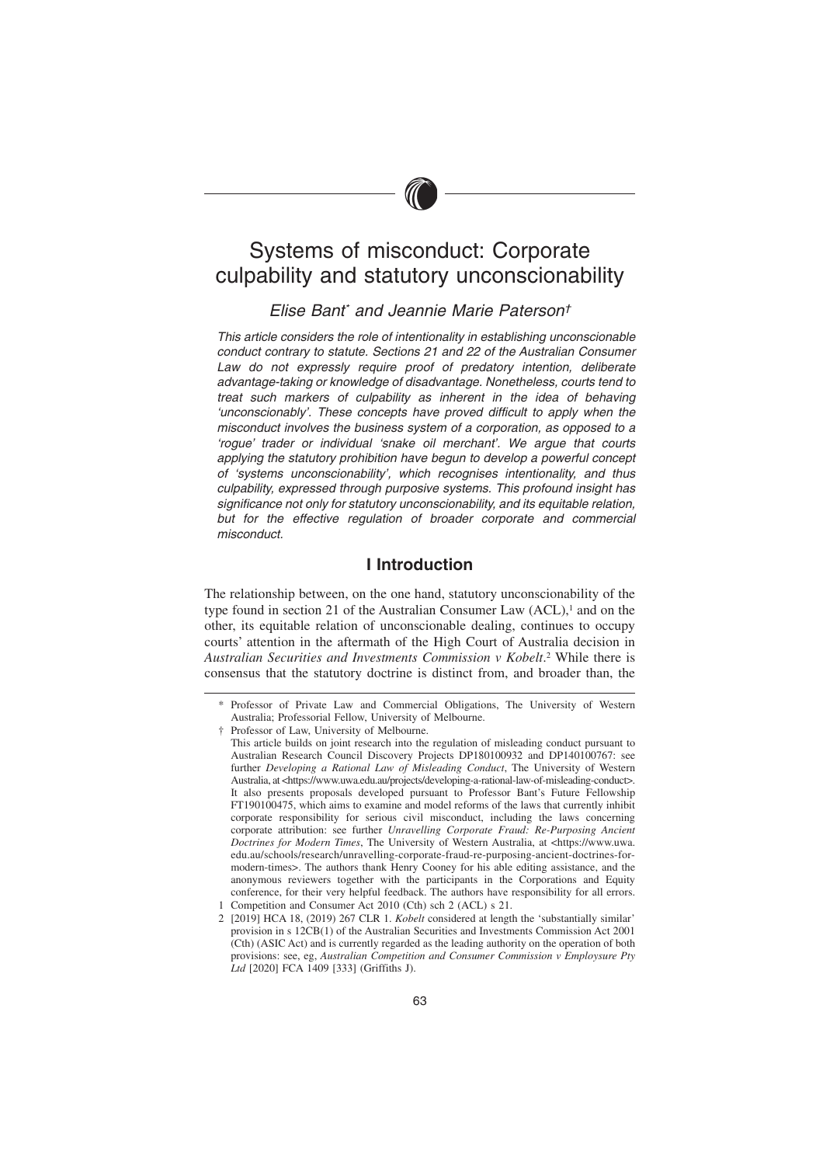# Systems of misconduct: Corporate culpability and statutory unconscionability

# Elise Bant\* and Jeannie Marie Paterson†

This article considers the role of intentionality in establishing unconscionable conduct contrary to statute. Sections 21 and 22 of the Australian Consumer Law do not expressly require proof of predatory intention, deliberate advantage-taking or knowledge of disadvantage. Nonetheless, courts tend to treat such markers of culpability as inherent in the idea of behaving 'unconscionably'. These concepts have proved difficult to apply when the misconduct involves the business system of a corporation, as opposed to a 'rogue' trader or individual 'snake oil merchant'. We argue that courts applying the statutory prohibition have begun to develop a powerful concept of 'systems unconscionability', which recognises intentionality, and thus culpability, expressed through purposive systems. This profound insight has significance not only for statutory unconscionability, and its equitable relation, but for the effective regulation of broader corporate and commercial misconduct.

# **I Introduction**

The relationship between, on the one hand, statutory unconscionability of the type found in section 21 of the Australian Consumer Law  $(ACL)$ ,<sup>1</sup> and on the other, its equitable relation of unconscionable dealing, continues to occupy courts' attention in the aftermath of the High Court of Australia decision in *Australian Securities and Investments Commission v Kobelt*. <sup>2</sup> While there is consensus that the statutory doctrine is distinct from, and broader than, the

<sup>\*</sup> Professor of Private Law and Commercial Obligations, The University of Western Australia; Professorial Fellow, University of Melbourne.

<sup>†</sup> Professor of Law, University of Melbourne.

This article builds on joint research into the regulation of misleading conduct pursuant to Australian Research Council Discovery Projects DP180100932 and DP140100767: see further *Developing a Rational Law of Misleading Conduct*, The University of Western Australia, at <https://www.uwa.edu.au/projects/developing-a-rational-law-of-misleading-conduct>. It also presents proposals developed pursuant to Professor Bant's Future Fellowship FT190100475, which aims to examine and model reforms of the laws that currently inhibit corporate responsibility for serious civil misconduct, including the laws concerning corporate attribution: see further *Unravelling Corporate Fraud: Re-Purposing Ancient Doctrines for Modern Times*, The University of Western Australia, at <https://www.uwa. edu.au/schools/research/unravelling-corporate-fraud-re-purposing-ancient-doctrines-formodern-times>. The authors thank Henry Cooney for his able editing assistance, and the anonymous reviewers together with the participants in the Corporations and Equity conference, for their very helpful feedback. The authors have responsibility for all errors. 1 Competition and Consumer Act 2010 (Cth) sch 2 (ACL) s 21.

<sup>2 [2019]</sup> HCA 18, (2019) 267 CLR 1. *Kobelt* considered at length the 'substantially similar' provision in s 12CB(1) of the Australian Securities and Investments Commission Act 2001 (Cth) (ASIC Act) and is currently regarded as the leading authority on the operation of both provisions: see, eg, *Australian Competition and Consumer Commission v Employsure Pty Ltd* [2020] FCA 1409 [333] (Griffiths J).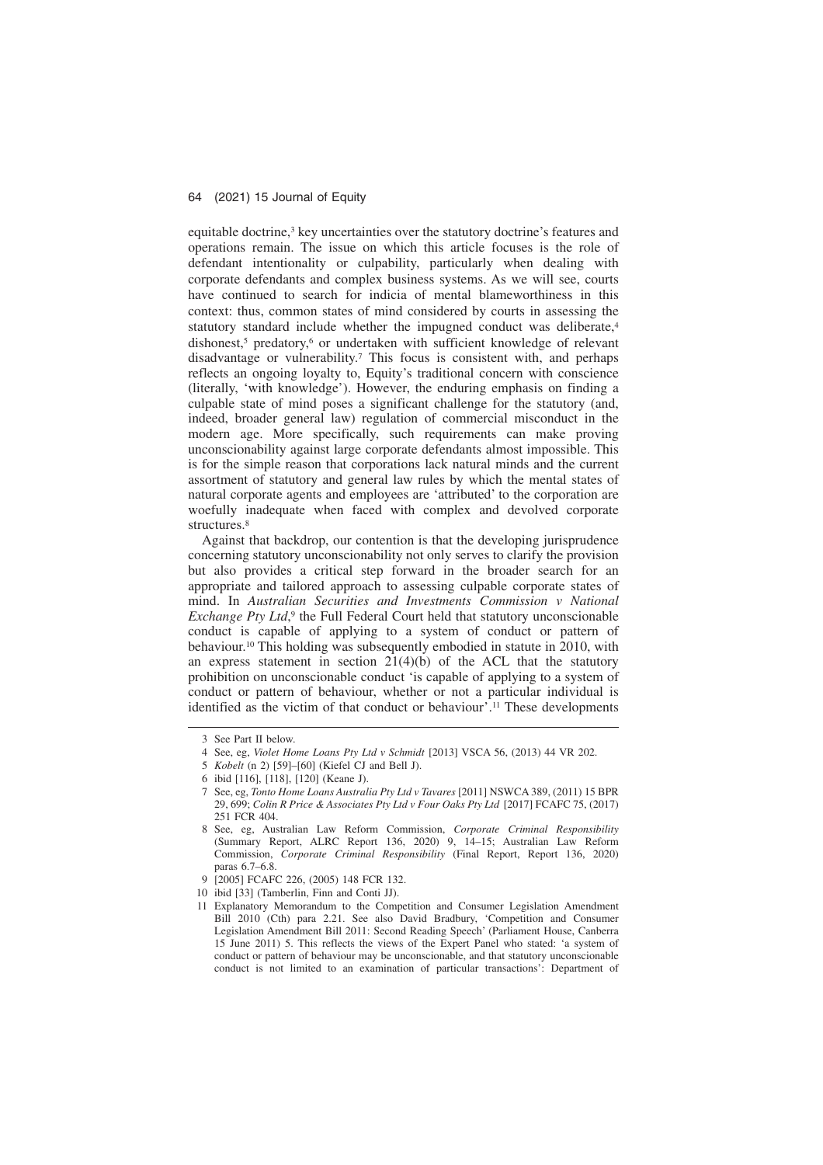equitable doctrine,<sup>3</sup> key uncertainties over the statutory doctrine's features and operations remain. The issue on which this article focuses is the role of defendant intentionality or culpability, particularly when dealing with corporate defendants and complex business systems. As we will see, courts have continued to search for indicia of mental blameworthiness in this context: thus, common states of mind considered by courts in assessing the statutory standard include whether the impugned conduct was deliberate.<sup>4</sup> dishonest,<sup>5</sup> predatory,<sup>6</sup> or undertaken with sufficient knowledge of relevant disadvantage or vulnerability.7 This focus is consistent with, and perhaps reflects an ongoing loyalty to, Equity's traditional concern with conscience (literally, 'with knowledge'). However, the enduring emphasis on finding a culpable state of mind poses a significant challenge for the statutory (and, indeed, broader general law) regulation of commercial misconduct in the modern age. More specifically, such requirements can make proving unconscionability against large corporate defendants almost impossible. This is for the simple reason that corporations lack natural minds and the current assortment of statutory and general law rules by which the mental states of natural corporate agents and employees are 'attributed' to the corporation are woefully inadequate when faced with complex and devolved corporate structures.<sup>8</sup>

Against that backdrop, our contention is that the developing jurisprudence concerning statutory unconscionability not only serves to clarify the provision but also provides a critical step forward in the broader search for an appropriate and tailored approach to assessing culpable corporate states of mind. In *Australian Securities and Investments Commission v National Exchange Pty Ltd*, <sup>9</sup> the Full Federal Court held that statutory unconscionable conduct is capable of applying to a system of conduct or pattern of behaviour.10 This holding was subsequently embodied in statute in 2010, with an express statement in section  $21(4)(b)$  of the ACL that the statutory prohibition on unconscionable conduct 'is capable of applying to a system of conduct or pattern of behaviour, whether or not a particular individual is identified as the victim of that conduct or behaviour'.11 These developments

<sup>3</sup> See Part II below.

<sup>4</sup> See, eg, *Violet Home Loans Pty Ltd v Schmidt* [2013] VSCA 56, (2013) 44 VR 202.

<sup>5</sup> *Kobelt* (n 2) [59]–[60] (Kiefel CJ and Bell J).

<sup>6</sup> ibid [116], [118], [120] (Keane J).

<sup>7</sup> See, eg, *Tonto Home Loans Australia Pty Ltd v Tavares* [2011] NSWCA 389, (2011) 15 BPR 29, 699; *Colin R Price & Associates Pty Ltd v Four Oaks Pty Ltd* [2017] FCAFC 75, (2017) 251 FCR 404.

<sup>8</sup> See, eg, Australian Law Reform Commission, *Corporate Criminal Responsibility* (Summary Report, ALRC Report 136, 2020) 9, 14–15; Australian Law Reform Commission, *Corporate Criminal Responsibility* (Final Report, Report 136, 2020) paras 6.7–6.8.

<sup>9 [2005]</sup> FCAFC 226, (2005) 148 FCR 132.

<sup>10</sup> ibid [33] (Tamberlin, Finn and Conti JJ).

<sup>11</sup> Explanatory Memorandum to the Competition and Consumer Legislation Amendment Bill 2010 (Cth) para 2.21. See also David Bradbury, 'Competition and Consumer Legislation Amendment Bill 2011: Second Reading Speech' (Parliament House, Canberra 15 June 2011) 5. This reflects the views of the Expert Panel who stated: 'a system of conduct or pattern of behaviour may be unconscionable, and that statutory unconscionable conduct is not limited to an examination of particular transactions': Department of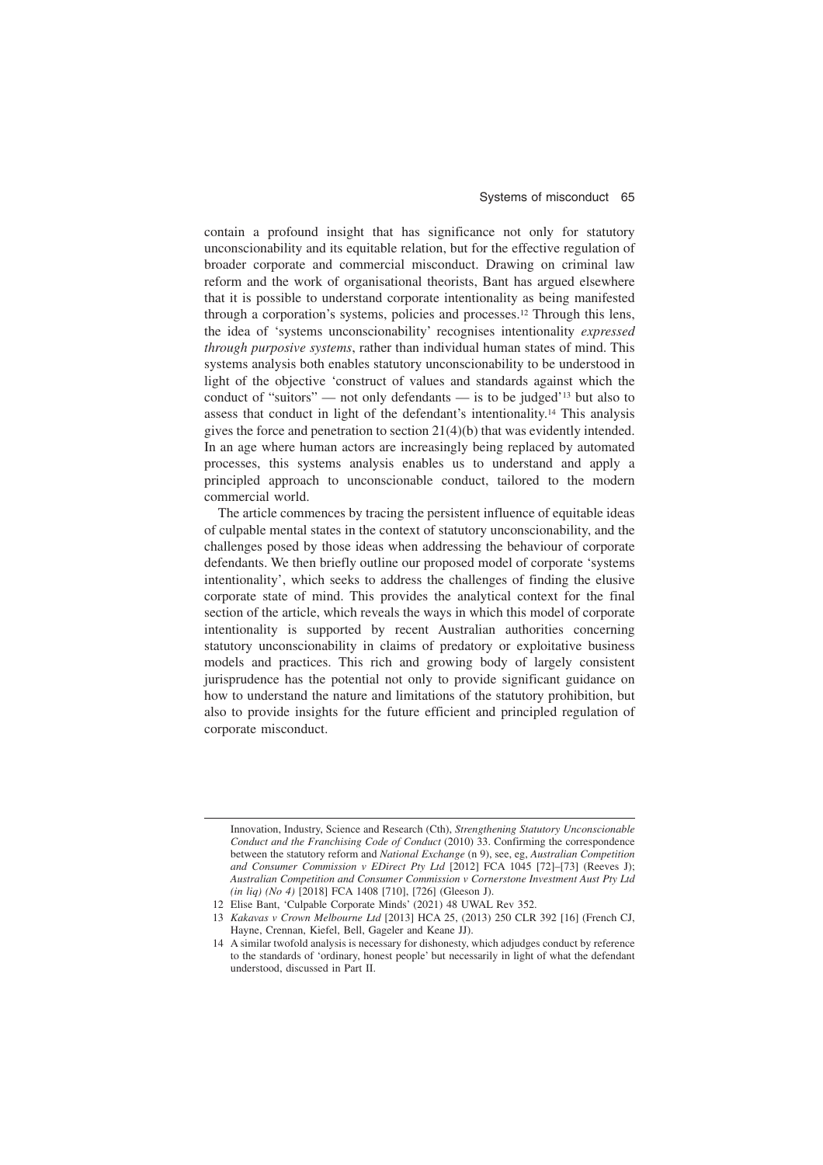contain a profound insight that has significance not only for statutory unconscionability and its equitable relation, but for the effective regulation of broader corporate and commercial misconduct. Drawing on criminal law reform and the work of organisational theorists, Bant has argued elsewhere that it is possible to understand corporate intentionality as being manifested through a corporation's systems, policies and processes.12 Through this lens, the idea of 'systems unconscionability' recognises intentionality *expressed through purposive systems*, rather than individual human states of mind. This systems analysis both enables statutory unconscionability to be understood in light of the objective 'construct of values and standards against which the conduct of "suitors" — not only defendants — is to be judged'13 but also to assess that conduct in light of the defendant's intentionality.14 This analysis gives the force and penetration to section 21(4)(b) that was evidently intended. In an age where human actors are increasingly being replaced by automated processes, this systems analysis enables us to understand and apply a principled approach to unconscionable conduct, tailored to the modern commercial world.

The article commences by tracing the persistent influence of equitable ideas of culpable mental states in the context of statutory unconscionability, and the challenges posed by those ideas when addressing the behaviour of corporate defendants. We then briefly outline our proposed model of corporate 'systems intentionality', which seeks to address the challenges of finding the elusive corporate state of mind. This provides the analytical context for the final section of the article, which reveals the ways in which this model of corporate intentionality is supported by recent Australian authorities concerning statutory unconscionability in claims of predatory or exploitative business models and practices. This rich and growing body of largely consistent jurisprudence has the potential not only to provide significant guidance on how to understand the nature and limitations of the statutory prohibition, but also to provide insights for the future efficient and principled regulation of corporate misconduct.

Innovation, Industry, Science and Research (Cth), *Strengthening Statutory Unconscionable Conduct and the Franchising Code of Conduct* (2010) 33. Confirming the correspondence between the statutory reform and *National Exchange* (n 9), see, eg, *Australian Competition and Consumer Commission v EDirect Pty Ltd* [2012] FCA 1045 [72]–[73] (Reeves J); *Australian Competition and Consumer Commission v Cornerstone Investment Aust Pty Ltd (in liq) (No 4)* [2018] FCA 1408 [710], [726] (Gleeson J).

<sup>12</sup> Elise Bant, 'Culpable Corporate Minds' (2021) 48 UWAL Rev 352.

<sup>13</sup> *Kakavas v Crown Melbourne Ltd* [2013] HCA 25, (2013) 250 CLR 392 [16] (French CJ, Hayne, Crennan, Kiefel, Bell, Gageler and Keane JJ).

<sup>14</sup> A similar twofold analysis is necessary for dishonesty, which adjudges conduct by reference to the standards of 'ordinary, honest people' but necessarily in light of what the defendant understood, discussed in Part II.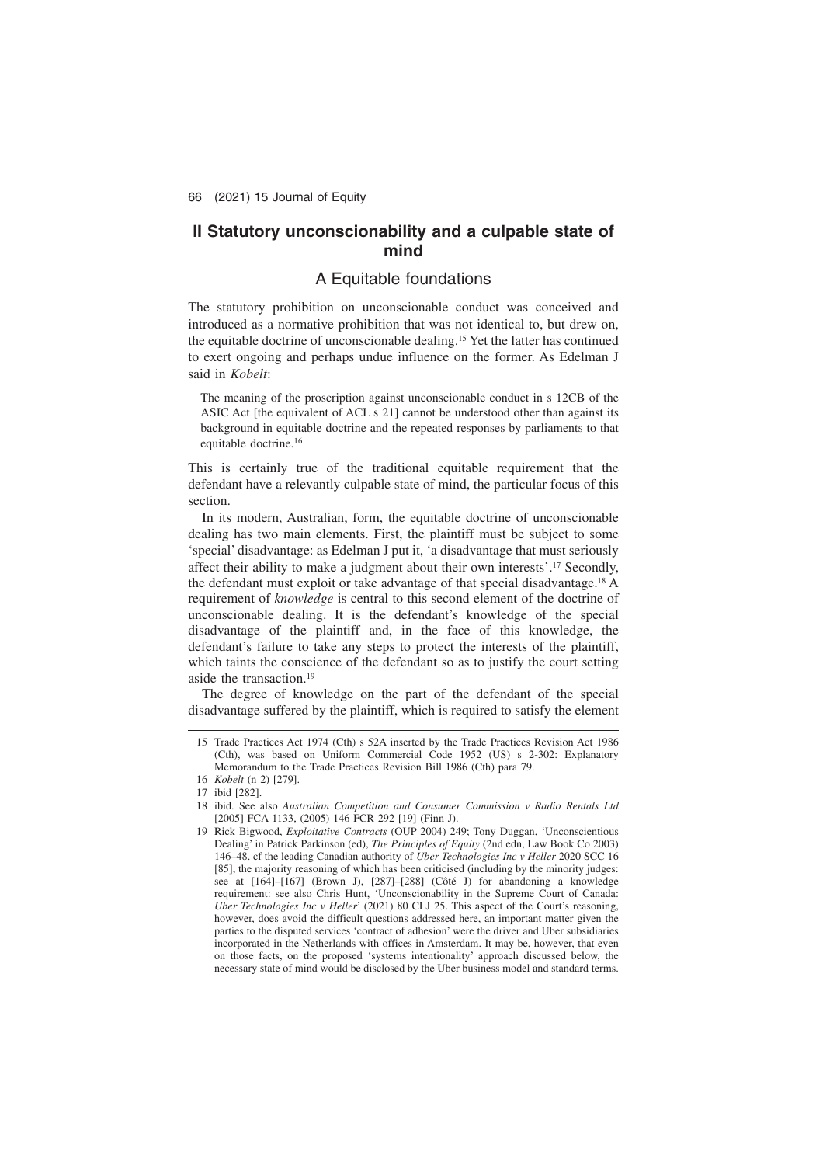# **II Statutory unconscionability and a culpable state of mind**

# A Equitable foundations

The statutory prohibition on unconscionable conduct was conceived and introduced as a normative prohibition that was not identical to, but drew on, the equitable doctrine of unconscionable dealing.15 Yet the latter has continued to exert ongoing and perhaps undue influence on the former. As Edelman J said in *Kobelt*:

The meaning of the proscription against unconscionable conduct in s 12CB of the ASIC Act [the equivalent of ACL s 21] cannot be understood other than against its background in equitable doctrine and the repeated responses by parliaments to that equitable doctrine.16

This is certainly true of the traditional equitable requirement that the defendant have a relevantly culpable state of mind, the particular focus of this section.

In its modern, Australian, form, the equitable doctrine of unconscionable dealing has two main elements. First, the plaintiff must be subject to some 'special' disadvantage: as Edelman J put it, 'a disadvantage that must seriously affect their ability to make a judgment about their own interests'.17 Secondly, the defendant must exploit or take advantage of that special disadvantage.18 A requirement of *knowledge* is central to this second element of the doctrine of unconscionable dealing. It is the defendant's knowledge of the special disadvantage of the plaintiff and, in the face of this knowledge, the defendant's failure to take any steps to protect the interests of the plaintiff, which taints the conscience of the defendant so as to justify the court setting aside the transaction.19

The degree of knowledge on the part of the defendant of the special disadvantage suffered by the plaintiff, which is required to satisfy the element

<sup>15</sup> Trade Practices Act 1974 (Cth) s 52A inserted by the Trade Practices Revision Act 1986 (Cth), was based on Uniform Commercial Code 1952 (US) s 2-302: Explanatory Memorandum to the Trade Practices Revision Bill 1986 (Cth) para 79.

<sup>16</sup> *Kobelt* (n 2) [279].

<sup>17</sup> ibid [282].

<sup>18</sup> ibid. See also *Australian Competition and Consumer Commission v Radio Rentals Ltd* [2005] FCA 1133, (2005) 146 FCR 292 [19] (Finn J).

<sup>19</sup> Rick Bigwood, *Exploitative Contracts* (OUP 2004) 249; Tony Duggan, 'Unconscientious Dealing' in Patrick Parkinson (ed), *The Principles of Equity* (2nd edn, Law Book Co 2003) 146–48. cf the leading Canadian authority of *Uber Technologies Inc v Heller* 2020 SCC 16 [85], the majority reasoning of which has been criticised (including by the minority judges: see at [164]–[167] (Brown J), [287]–[288] (Côté J) for abandoning a knowledge requirement: see also Chris Hunt, 'Unconscionability in the Supreme Court of Canada: *Uber Technologies Inc v Heller*' (2021) 80 CLJ 25. This aspect of the Court's reasoning, however, does avoid the difficult questions addressed here, an important matter given the parties to the disputed services 'contract of adhesion' were the driver and Uber subsidiaries incorporated in the Netherlands with offices in Amsterdam. It may be, however, that even on those facts, on the proposed 'systems intentionality' approach discussed below, the necessary state of mind would be disclosed by the Uber business model and standard terms.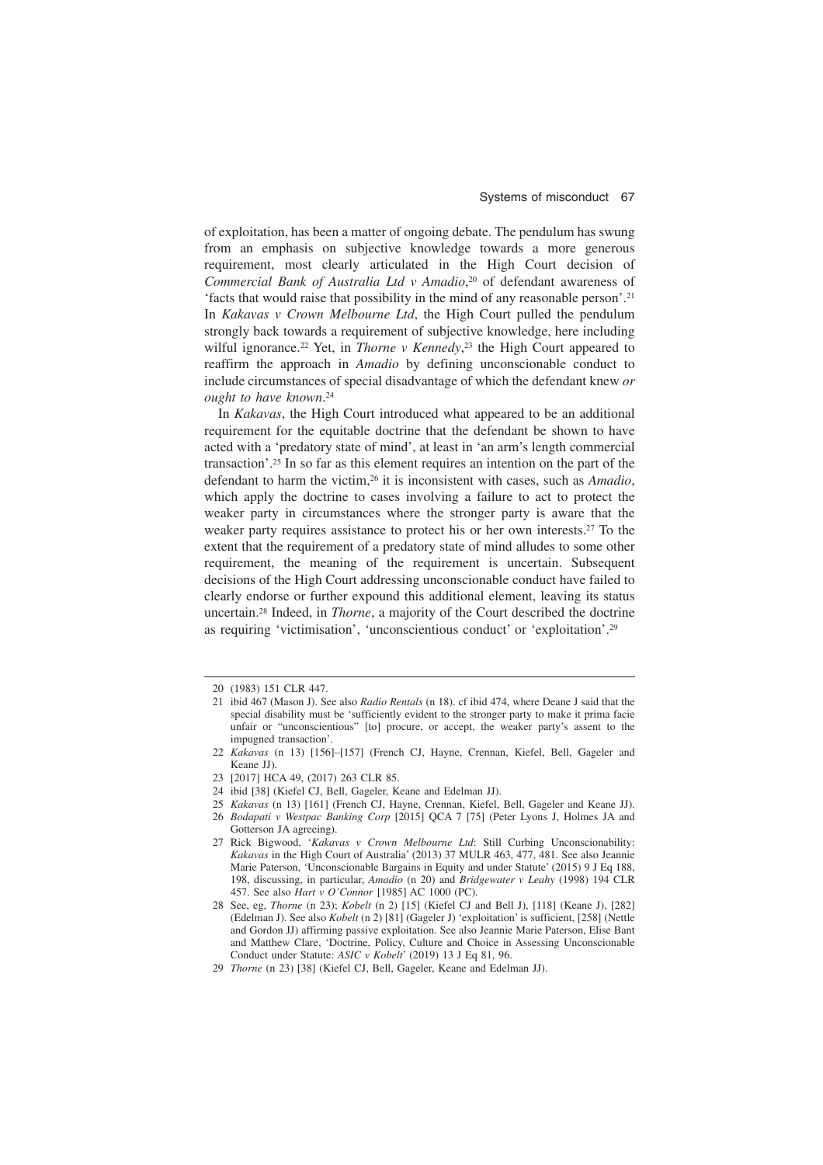of exploitation, has been a matter of ongoing debate. The pendulum has swung from an emphasis on subjective knowledge towards a more generous requirement, most clearly articulated in the High Court decision of *Commercial Bank of Australia Ltd v Amadio*, <sup>20</sup> of defendant awareness of 'facts that would raise that possibility in the mind of any reasonable person'.21 In *Kakavas v Crown Melbourne Ltd*, the High Court pulled the pendulum strongly back towards a requirement of subjective knowledge, here including wilful ignorance.<sup>22</sup> Yet, in *Thorne v Kennedy*,<sup>23</sup> the High Court appeared to reaffirm the approach in *Amadio* by defining unconscionable conduct to include circumstances of special disadvantage of which the defendant knew *or ought to have known*. 24

In *Kakavas*, the High Court introduced what appeared to be an additional requirement for the equitable doctrine that the defendant be shown to have acted with a 'predatory state of mind', at least in 'an arm's length commercial transaction'.25 In so far as this element requires an intention on the part of the defendant to harm the victim,26 it is inconsistent with cases, such as *Amadio*, which apply the doctrine to cases involving a failure to act to protect the weaker party in circumstances where the stronger party is aware that the weaker party requires assistance to protect his or her own interests.27 To the extent that the requirement of a predatory state of mind alludes to some other requirement, the meaning of the requirement is uncertain. Subsequent decisions of the High Court addressing unconscionable conduct have failed to clearly endorse or further expound this additional element, leaving its status uncertain.28 Indeed, in *Thorne*, a majority of the Court described the doctrine as requiring 'victimisation', 'unconscientious conduct' or 'exploitation'.29

- 21 ibid 467 (Mason J). See also *Radio Rentals* (n 18). cf ibid 474, where Deane J said that the special disability must be 'sufficiently evident to the stronger party to make it prima facie unfair or "unconscientious" [to] procure, or accept, the weaker party's assent to the impugned transaction'.
- 22 *Kakavas* (n 13) [156]–[157] (French CJ, Hayne, Crennan, Kiefel, Bell, Gageler and Keane JJ).

- 24 ibid [38] (Kiefel CJ, Bell, Gageler, Keane and Edelman JJ).
- 25 *Kakavas* (n 13) [161] (French CJ, Hayne, Crennan, Kiefel, Bell, Gageler and Keane JJ).
- 26 *Bodapati v Westpac Banking Corp* [2015] QCA 7 [75] (Peter Lyons J, Holmes JA and Gotterson JA agreeing).

27 Rick Bigwood, '*Kakavas v Crown Melbourne Ltd*: Still Curbing Unconscionability: *Kakavas* in the High Court of Australia' (2013) 37 MULR 463, 477, 481. See also Jeannie Marie Paterson, 'Unconscionable Bargains in Equity and under Statute' (2015) 9 J Eq 188, 198, discussing, in particular, *Amadio* (n 20) and *Bridgewater v Leahy* (1998) 194 CLR 457. See also *Hart v O'Connor* [1985] AC 1000 (PC).

29 *Thorne* (n 23) [38] (Kiefel CJ, Bell, Gageler, Keane and Edelman JJ).

<sup>20 (1983) 151</sup> CLR 447.

<sup>23 [2017]</sup> HCA 49, (2017) 263 CLR 85.

<sup>28</sup> See, eg, *Thorne* (n 23); *Kobelt* (n 2) [15] (Kiefel CJ and Bell J), [118] (Keane J), [282] (Edelman J). See also *Kobelt* (n 2) [81] (Gageler J) 'exploitation' is sufficient, [258] (Nettle and Gordon JJ) affirming passive exploitation. See also Jeannie Marie Paterson, Elise Bant and Matthew Clare, 'Doctrine, Policy, Culture and Choice in Assessing Unconscionable Conduct under Statute: *ASIC v Kobelt*' (2019) 13 J Eq 81, 96.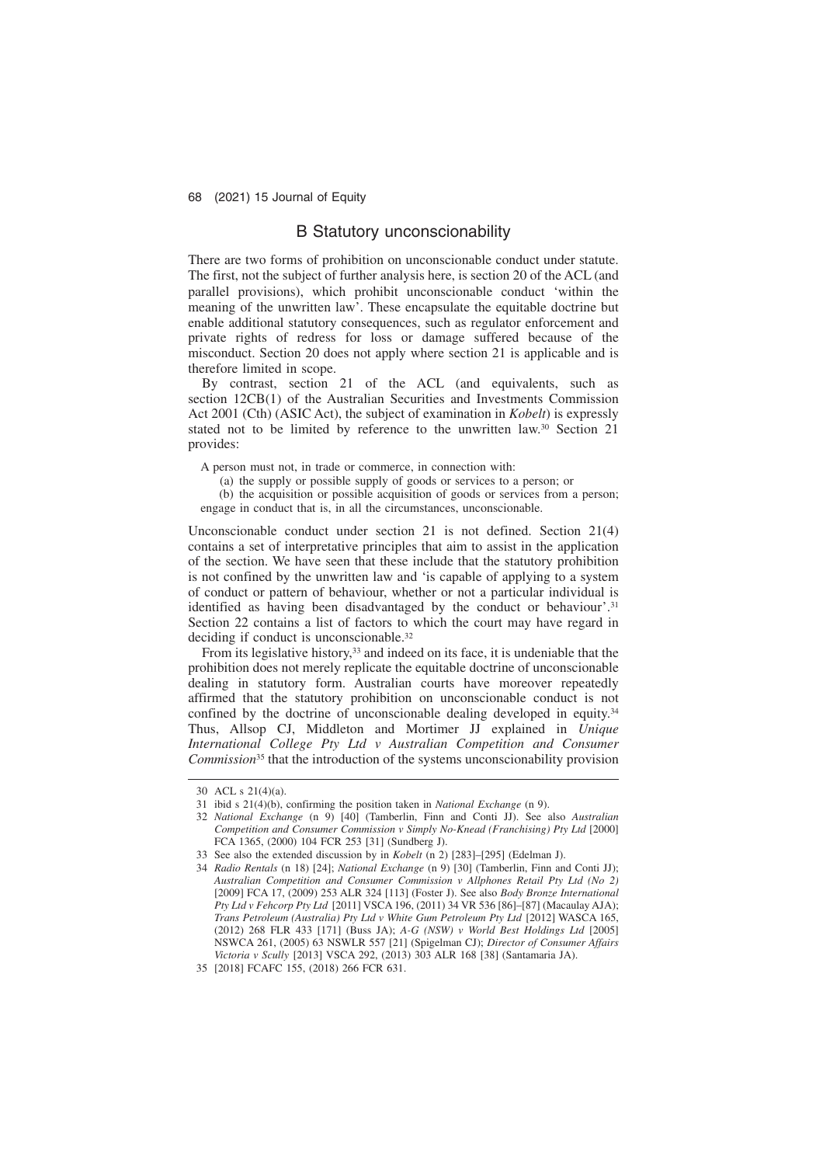### B Statutory unconscionability

There are two forms of prohibition on unconscionable conduct under statute. The first, not the subject of further analysis here, is section 20 of the ACL (and parallel provisions), which prohibit unconscionable conduct 'within the meaning of the unwritten law'. These encapsulate the equitable doctrine but enable additional statutory consequences, such as regulator enforcement and private rights of redress for loss or damage suffered because of the misconduct. Section 20 does not apply where section 21 is applicable and is therefore limited in scope.

By contrast, section 21 of the ACL (and equivalents, such as section 12CB(1) of the Australian Securities and Investments Commission Act 2001 (Cth) (ASIC Act), the subject of examination in *Kobelt*) is expressly stated not to be limited by reference to the unwritten law.30 Section 21 provides:

A person must not, in trade or commerce, in connection with:

- (a) the supply or possible supply of goods or services to a person; or
- (b) the acquisition or possible acquisition of goods or services from a person; engage in conduct that is, in all the circumstances, unconscionable.

Unconscionable conduct under section 21 is not defined. Section 21(4) contains a set of interpretative principles that aim to assist in the application of the section. We have seen that these include that the statutory prohibition is not confined by the unwritten law and 'is capable of applying to a system of conduct or pattern of behaviour, whether or not a particular individual is identified as having been disadvantaged by the conduct or behaviour'.<sup>31</sup> Section 22 contains a list of factors to which the court may have regard in deciding if conduct is unconscionable.32

From its legislative history,<sup>33</sup> and indeed on its face, it is undeniable that the prohibition does not merely replicate the equitable doctrine of unconscionable dealing in statutory form. Australian courts have moreover repeatedly affirmed that the statutory prohibition on unconscionable conduct is not confined by the doctrine of unconscionable dealing developed in equity.34 Thus, Allsop CJ, Middleton and Mortimer JJ explained in *Unique International College Pty Ltd v Australian Competition and Consumer Commission*<sup>35</sup> that the introduction of the systems unconscionability provision

<sup>30</sup> ACL s 21(4)(a).

<sup>31</sup> ibid s 21(4)(b), confirming the position taken in *National Exchange* (n 9).

<sup>32</sup> *National Exchange* (n 9) [40] (Tamberlin, Finn and Conti JJ). See also *Australian Competition and Consumer Commission v Simply No-Knead (Franchising) Pty Ltd* [2000] FCA 1365, (2000) 104 FCR 253 [31] (Sundberg J).

<sup>33</sup> See also the extended discussion by in *Kobelt* (n 2) [283]–[295] (Edelman J).

<sup>34</sup> *Radio Rentals* (n 18) [24]; *National Exchange* (n 9) [30] (Tamberlin, Finn and Conti JJ); *Australian Competition and Consumer Commission v Allphones Retail Pty Ltd (No 2)* [2009] FCA 17, (2009) 253 ALR 324 [113] (Foster J). See also *Body Bronze International Pty Ltd v Fehcorp Pty Ltd* [2011] VSCA 196, (2011) 34 VR 536 [86]–[87] (Macaulay AJA); *Trans Petroleum (Australia) Pty Ltd v White Gum Petroleum Pty Ltd* [2012] WASCA 165, (2012) 268 FLR 433 [171] (Buss JA); *A-G (NSW) v World Best Holdings Ltd* [2005] NSWCA 261, (2005) 63 NSWLR 557 [21] (Spigelman CJ); *Director of Consumer Affairs Victoria v Scully* [2013] VSCA 292, (2013) 303 ALR 168 [38] (Santamaria JA).

<sup>35 [2018]</sup> FCAFC 155, (2018) 266 FCR 631.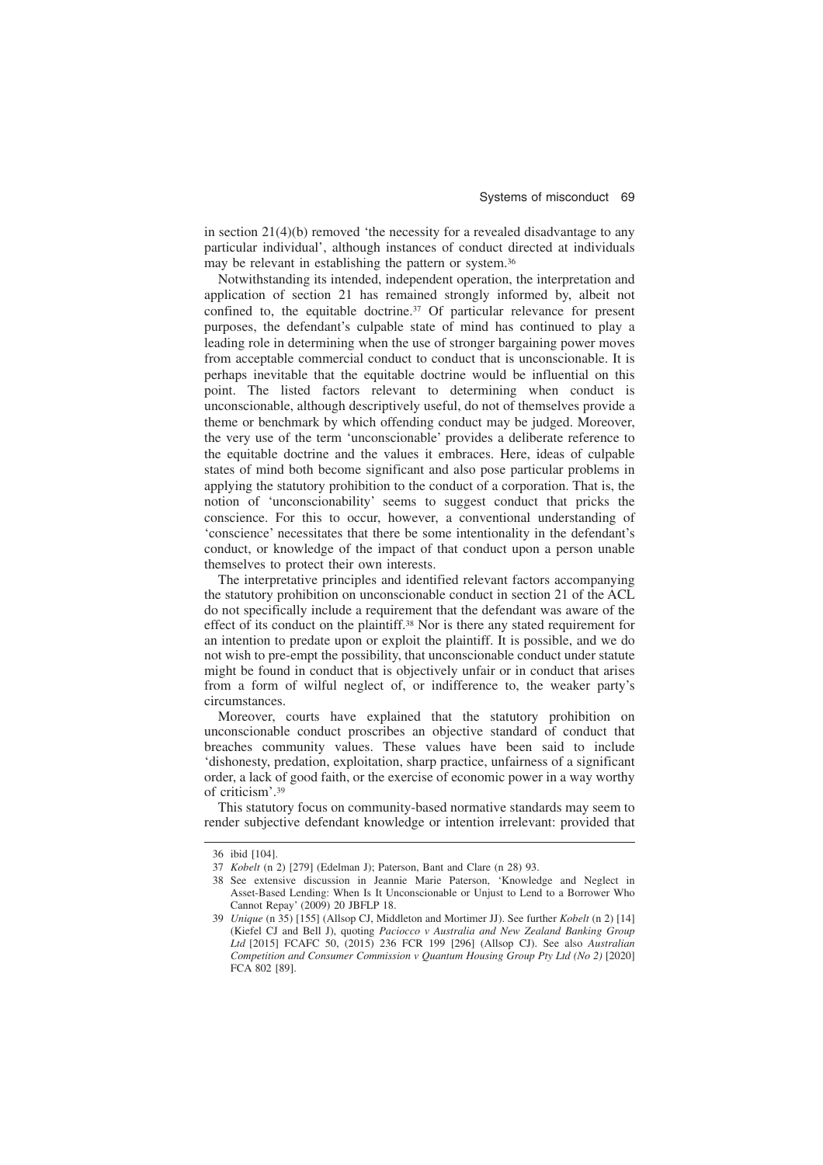in section  $21(4)(b)$  removed 'the necessity for a revealed disadvantage to any particular individual', although instances of conduct directed at individuals may be relevant in establishing the pattern or system.36

Notwithstanding its intended, independent operation, the interpretation and application of section 21 has remained strongly informed by, albeit not confined to, the equitable doctrine.37 Of particular relevance for present purposes, the defendant's culpable state of mind has continued to play a leading role in determining when the use of stronger bargaining power moves from acceptable commercial conduct to conduct that is unconscionable. It is perhaps inevitable that the equitable doctrine would be influential on this point. The listed factors relevant to determining when conduct is unconscionable, although descriptively useful, do not of themselves provide a theme or benchmark by which offending conduct may be judged. Moreover, the very use of the term 'unconscionable' provides a deliberate reference to the equitable doctrine and the values it embraces. Here, ideas of culpable states of mind both become significant and also pose particular problems in applying the statutory prohibition to the conduct of a corporation. That is, the notion of 'unconscionability' seems to suggest conduct that pricks the conscience. For this to occur, however, a conventional understanding of 'conscience' necessitates that there be some intentionality in the defendant's conduct, or knowledge of the impact of that conduct upon a person unable themselves to protect their own interests.

The interpretative principles and identified relevant factors accompanying the statutory prohibition on unconscionable conduct in section 21 of the ACL do not specifically include a requirement that the defendant was aware of the effect of its conduct on the plaintiff.38 Nor is there any stated requirement for an intention to predate upon or exploit the plaintiff. It is possible, and we do not wish to pre-empt the possibility, that unconscionable conduct under statute might be found in conduct that is objectively unfair or in conduct that arises from a form of wilful neglect of, or indifference to, the weaker party's circumstances.

Moreover, courts have explained that the statutory prohibition on unconscionable conduct proscribes an objective standard of conduct that breaches community values. These values have been said to include 'dishonesty, predation, exploitation, sharp practice, unfairness of a significant order, a lack of good faith, or the exercise of economic power in a way worthy of criticism'.39

This statutory focus on community-based normative standards may seem to render subjective defendant knowledge or intention irrelevant: provided that

<sup>36</sup> ibid [104].

<sup>37</sup> *Kobelt* (n 2) [279] (Edelman J); Paterson, Bant and Clare (n 28) 93.

<sup>38</sup> See extensive discussion in Jeannie Marie Paterson, 'Knowledge and Neglect in Asset-Based Lending: When Is It Unconscionable or Unjust to Lend to a Borrower Who Cannot Repay' (2009) 20 JBFLP 18.

<sup>39</sup> *Unique* (n 35) [155] (Allsop CJ, Middleton and Mortimer JJ). See further *Kobelt* (n 2) [14] (Kiefel CJ and Bell J), quoting *Paciocco v Australia and New Zealand Banking Group Ltd* [2015] FCAFC 50, (2015) 236 FCR 199 [296] (Allsop CJ). See also *Australian Competition and Consumer Commission v Quantum Housing Group Pty Ltd (No 2)* [2020] FCA 802 [89].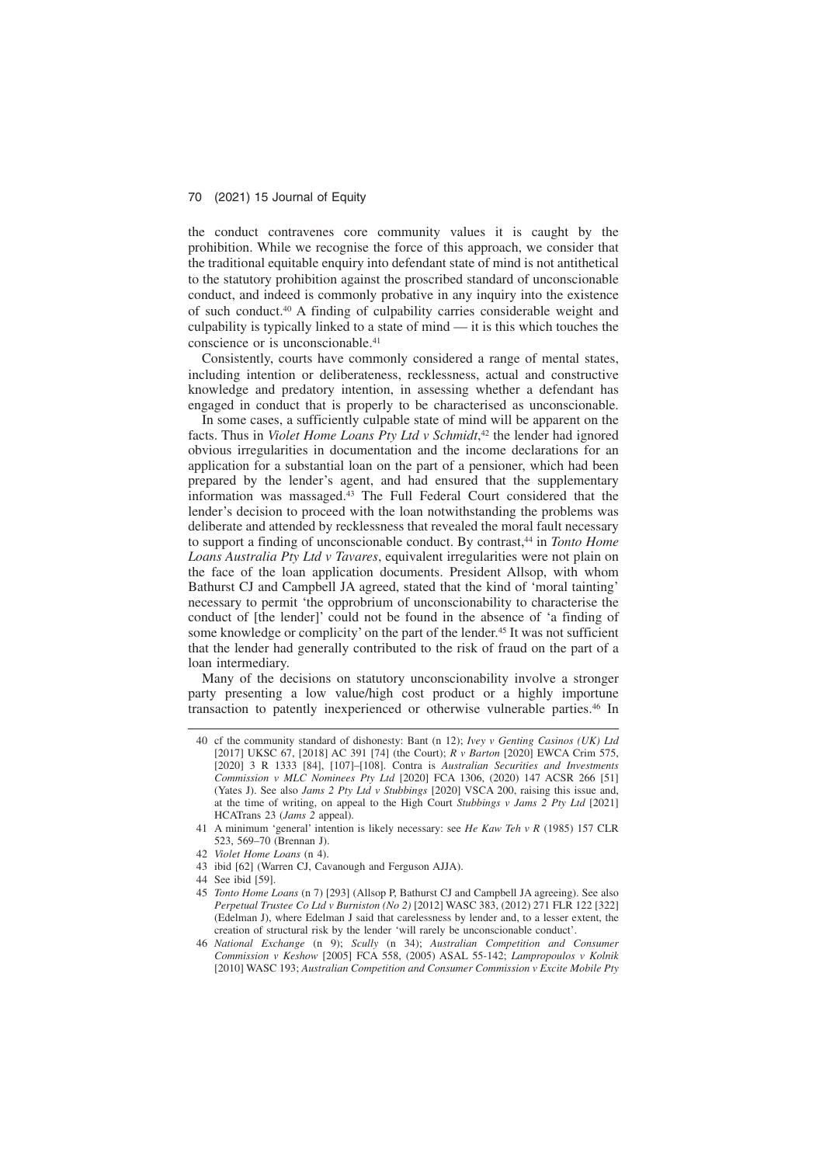the conduct contravenes core community values it is caught by the prohibition. While we recognise the force of this approach, we consider that the traditional equitable enquiry into defendant state of mind is not antithetical to the statutory prohibition against the proscribed standard of unconscionable conduct, and indeed is commonly probative in any inquiry into the existence of such conduct.40 A finding of culpability carries considerable weight and culpability is typically linked to a state of mind — it is this which touches the conscience or is unconscionable.41

Consistently, courts have commonly considered a range of mental states, including intention or deliberateness, recklessness, actual and constructive knowledge and predatory intention, in assessing whether a defendant has engaged in conduct that is properly to be characterised as unconscionable.

In some cases, a sufficiently culpable state of mind will be apparent on the facts. Thus in *Violet Home Loans Pty Ltd v Schmidt*, <sup>42</sup> the lender had ignored obvious irregularities in documentation and the income declarations for an application for a substantial loan on the part of a pensioner, which had been prepared by the lender's agent, and had ensured that the supplementary information was massaged.43 The Full Federal Court considered that the lender's decision to proceed with the loan notwithstanding the problems was deliberate and attended by recklessness that revealed the moral fault necessary to support a finding of unconscionable conduct. By contrast,44 in *Tonto Home Loans Australia Pty Ltd v Tavares*, equivalent irregularities were not plain on the face of the loan application documents. President Allsop, with whom Bathurst CJ and Campbell JA agreed, stated that the kind of 'moral tainting' necessary to permit 'the opprobrium of unconscionability to characterise the conduct of [the lender]' could not be found in the absence of 'a finding of some knowledge or complicity' on the part of the lender.45 It was not sufficient that the lender had generally contributed to the risk of fraud on the part of a loan intermediary.

Many of the decisions on statutory unconscionability involve a stronger party presenting a low value/high cost product or a highly importune transaction to patently inexperienced or otherwise vulnerable parties.46 In

- 43 ibid [62] (Warren CJ, Cavanough and Ferguson AJJA).
- 44 See ibid [59].
- 45 *Tonto Home Loans* (n 7) [293] (Allsop P, Bathurst CJ and Campbell JA agreeing). See also *Perpetual Trustee Co Ltd v Burniston (No 2)* [2012] WASC 383, (2012) 271 FLR 122 [322] (Edelman J), where Edelman J said that carelessness by lender and, to a lesser extent, the creation of structural risk by the lender 'will rarely be unconscionable conduct'.
- 46 *National Exchange* (n 9); *Scully* (n 34); *Australian Competition and Consumer Commission v Keshow* [2005] FCA 558, (2005) ASAL 55-142; *Lampropoulos v Kolnik* [2010] WASC 193; *Australian Competition and Consumer Commission v Excite Mobile Pty*

<sup>40</sup> cf the community standard of dishonesty: Bant (n 12); *Ivey v Genting Casinos (UK) Ltd* [2017] UKSC 67, [2018] AC 391 [74] (the Court); *R v Barton* [2020] EWCA Crim 575, [2020] 3 R 1333 [84], [107]–[108]. Contra is *Australian Securities and Investments Commission v MLC Nominees Pty Ltd* [2020] FCA 1306, (2020) 147 ACSR 266 [51] (Yates J). See also *Jams 2 Pty Ltd v Stubbings* [2020] VSCA 200, raising this issue and, at the time of writing, on appeal to the High Court *Stubbings v Jams 2 Pty Ltd* [2021] HCATrans 23 (*Jams 2* appeal).

<sup>41</sup> A minimum 'general' intention is likely necessary: see *He Kaw Teh v R* (1985) 157 CLR 523, 569–70 (Brennan J).

<sup>42</sup> *Violet Home Loans* (n 4).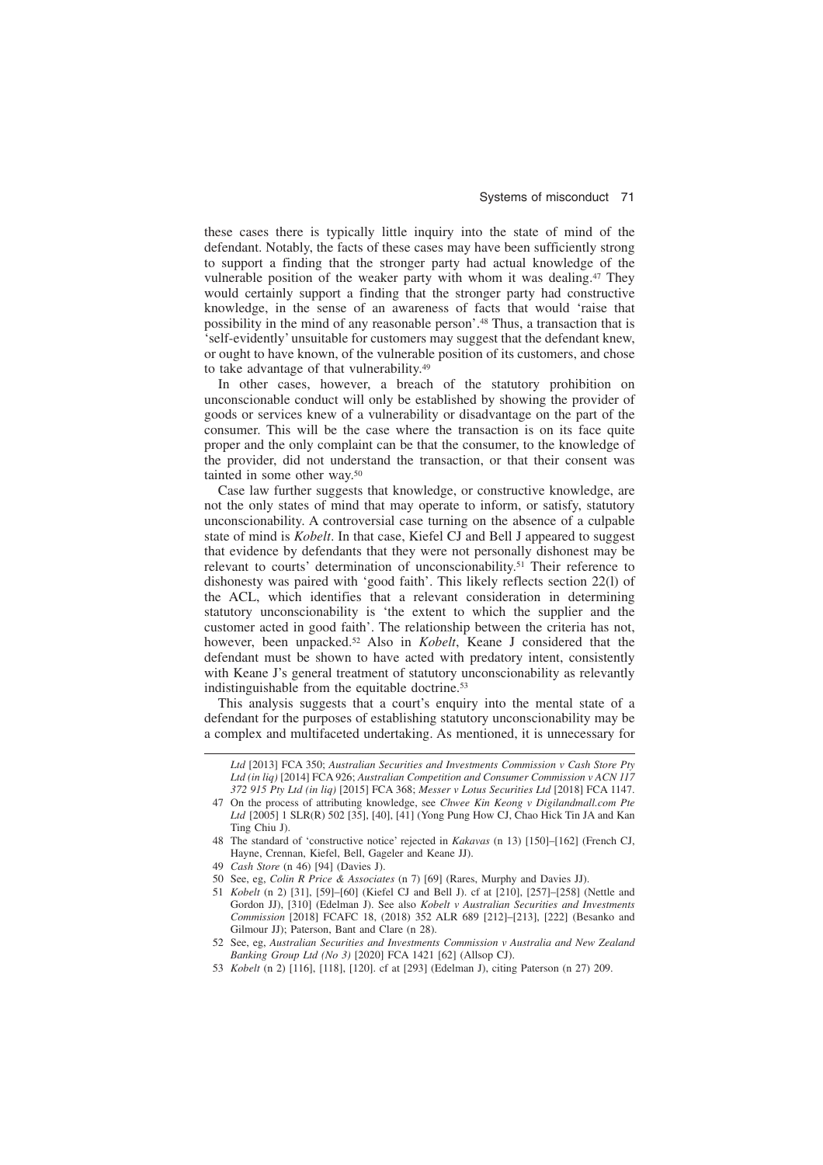these cases there is typically little inquiry into the state of mind of the defendant. Notably, the facts of these cases may have been sufficiently strong to support a finding that the stronger party had actual knowledge of the vulnerable position of the weaker party with whom it was dealing.<sup>47</sup> They would certainly support a finding that the stronger party had constructive knowledge, in the sense of an awareness of facts that would 'raise that possibility in the mind of any reasonable person'.48 Thus, a transaction that is 'self-evidently' unsuitable for customers may suggest that the defendant knew, or ought to have known, of the vulnerable position of its customers, and chose to take advantage of that vulnerability.49

In other cases, however, a breach of the statutory prohibition on unconscionable conduct will only be established by showing the provider of goods or services knew of a vulnerability or disadvantage on the part of the consumer. This will be the case where the transaction is on its face quite proper and the only complaint can be that the consumer, to the knowledge of the provider, did not understand the transaction, or that their consent was tainted in some other way.50

Case law further suggests that knowledge, or constructive knowledge, are not the only states of mind that may operate to inform, or satisfy, statutory unconscionability. A controversial case turning on the absence of a culpable state of mind is *Kobelt*. In that case, Kiefel CJ and Bell J appeared to suggest that evidence by defendants that they were not personally dishonest may be relevant to courts' determination of unconscionability.51 Their reference to dishonesty was paired with 'good faith'. This likely reflects section 22(l) of the ACL, which identifies that a relevant consideration in determining statutory unconscionability is 'the extent to which the supplier and the customer acted in good faith'. The relationship between the criteria has not, however, been unpacked.52 Also in *Kobelt*, Keane J considered that the defendant must be shown to have acted with predatory intent, consistently with Keane J's general treatment of statutory unconscionability as relevantly indistinguishable from the equitable doctrine.<sup>53</sup>

This analysis suggests that a court's enquiry into the mental state of a defendant for the purposes of establishing statutory unconscionability may be a complex and multifaceted undertaking. As mentioned, it is unnecessary for

53 *Kobelt* (n 2) [116], [118], [120]. cf at [293] (Edelman J), citing Paterson (n 27) 209.

*Ltd* [2013] FCA 350; *Australian Securities and Investments Commission v Cash Store Pty Ltd (in liq)* [2014] FCA 926; *Australian Competition and Consumer Commission v ACN 117 372 915 Pty Ltd (in liq)* [2015] FCA 368; *Messer v Lotus Securities Ltd* [2018] FCA 1147.

<sup>47</sup> On the process of attributing knowledge, see *Chwee Kin Keong v Digilandmall.com Pte Ltd* [2005] 1 SLR(R) 502 [35], [40], [41] (Yong Pung How CJ, Chao Hick Tin JA and Kan Ting Chiu J).

<sup>48</sup> The standard of 'constructive notice' rejected in *Kakavas* (n 13) [150]–[162] (French CJ, Hayne, Crennan, Kiefel, Bell, Gageler and Keane JJ).

<sup>49</sup> *Cash Store* (n 46) [94] (Davies J).

<sup>50</sup> See, eg, *Colin R Price & Associates* (n 7) [69] (Rares, Murphy and Davies JJ).

<sup>51</sup> *Kobelt* (n 2) [31], [59]–[60] (Kiefel CJ and Bell J). cf at [210], [257]–[258] (Nettle and Gordon JJ), [310] (Edelman J). See also *Kobelt v Australian Securities and Investments Commission* [2018] FCAFC 18, (2018) 352 ALR 689 [212]–[213], [222] (Besanko and Gilmour JJ); Paterson, Bant and Clare (n 28).

<sup>52</sup> See, eg, *Australian Securities and Investments Commission v Australia and New Zealand Banking Group Ltd (No 3)* [2020] FCA 1421 [62] (Allsop CJ).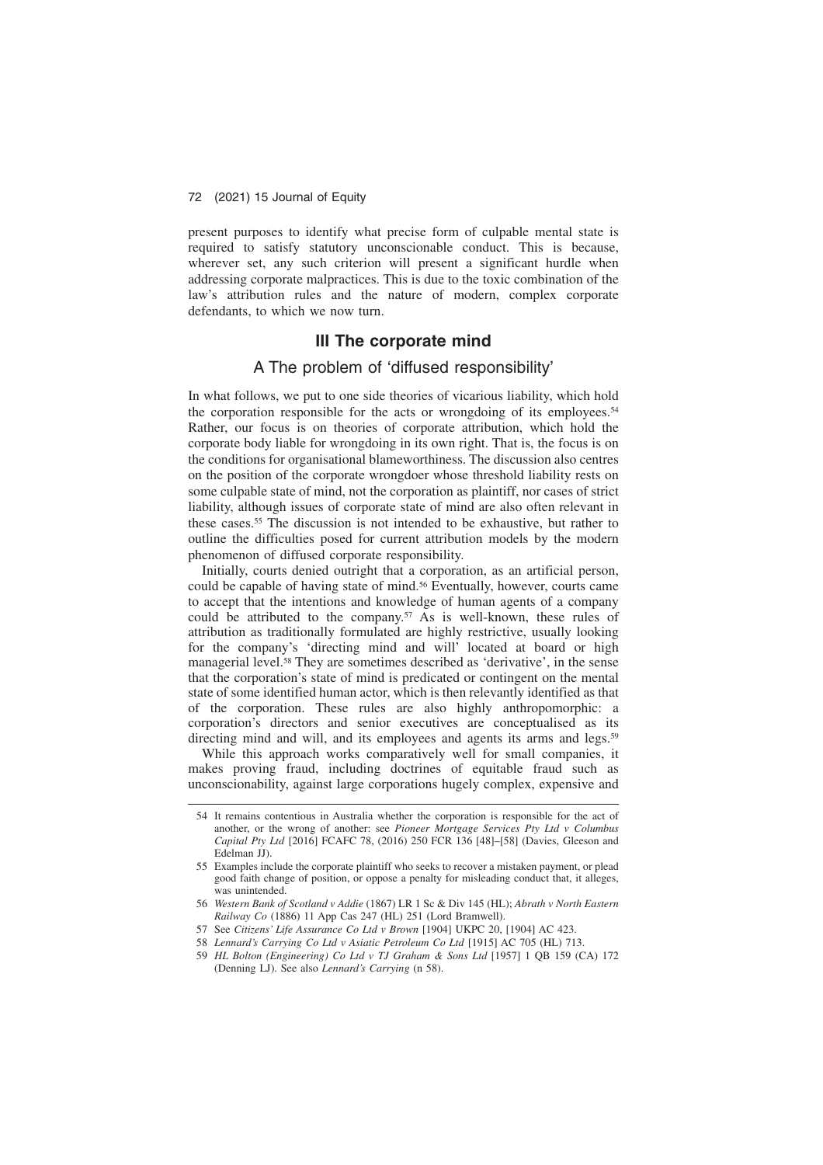present purposes to identify what precise form of culpable mental state is required to satisfy statutory unconscionable conduct. This is because, wherever set, any such criterion will present a significant hurdle when addressing corporate malpractices. This is due to the toxic combination of the law's attribution rules and the nature of modern, complex corporate defendants, to which we now turn.

# **III The corporate mind**

### A The problem of 'diffused responsibility'

In what follows, we put to one side theories of vicarious liability, which hold the corporation responsible for the acts or wrongdoing of its employees.54 Rather, our focus is on theories of corporate attribution, which hold the corporate body liable for wrongdoing in its own right. That is, the focus is on the conditions for organisational blameworthiness. The discussion also centres on the position of the corporate wrongdoer whose threshold liability rests on some culpable state of mind, not the corporation as plaintiff, nor cases of strict liability, although issues of corporate state of mind are also often relevant in these cases.55 The discussion is not intended to be exhaustive, but rather to outline the difficulties posed for current attribution models by the modern phenomenon of diffused corporate responsibility.

Initially, courts denied outright that a corporation, as an artificial person, could be capable of having state of mind.56 Eventually, however, courts came to accept that the intentions and knowledge of human agents of a company could be attributed to the company.<sup>57</sup> As is well-known, these rules of attribution as traditionally formulated are highly restrictive, usually looking for the company's 'directing mind and will' located at board or high managerial level.58 They are sometimes described as 'derivative', in the sense that the corporation's state of mind is predicated or contingent on the mental state of some identified human actor, which is then relevantly identified as that of the corporation. These rules are also highly anthropomorphic: a corporation's directors and senior executives are conceptualised as its directing mind and will, and its employees and agents its arms and legs.<sup>59</sup>

While this approach works comparatively well for small companies, it makes proving fraud, including doctrines of equitable fraud such as unconscionability, against large corporations hugely complex, expensive and

<sup>54</sup> It remains contentious in Australia whether the corporation is responsible for the act of another, or the wrong of another: see *Pioneer Mortgage Services Pty Ltd v Columbus Capital Pty Ltd* [2016] FCAFC 78, (2016) 250 FCR 136 [48]–[58] (Davies, Gleeson and Edelman JJ).

<sup>55</sup> Examples include the corporate plaintiff who seeks to recover a mistaken payment, or plead good faith change of position, or oppose a penalty for misleading conduct that, it alleges, was unintended.

<sup>56</sup> *Western Bank of Scotland v Addie* (1867) LR 1 Sc & Div 145 (HL); *Abrath v North Eastern Railway Co* (1886) 11 App Cas 247 (HL) 251 (Lord Bramwell).

<sup>57</sup> See *Citizens' Life Assurance Co Ltd v Brown* [1904] UKPC 20, [1904] AC 423.

<sup>58</sup> *Lennard's Carrying Co Ltd v Asiatic Petroleum Co Ltd* [1915] AC 705 (HL) 713.

<sup>59</sup> *HL Bolton (Engineering) Co Ltd v TJ Graham & Sons Ltd* [1957] 1 QB 159 (CA) 172 (Denning LJ). See also *Lennard's Carrying* (n 58).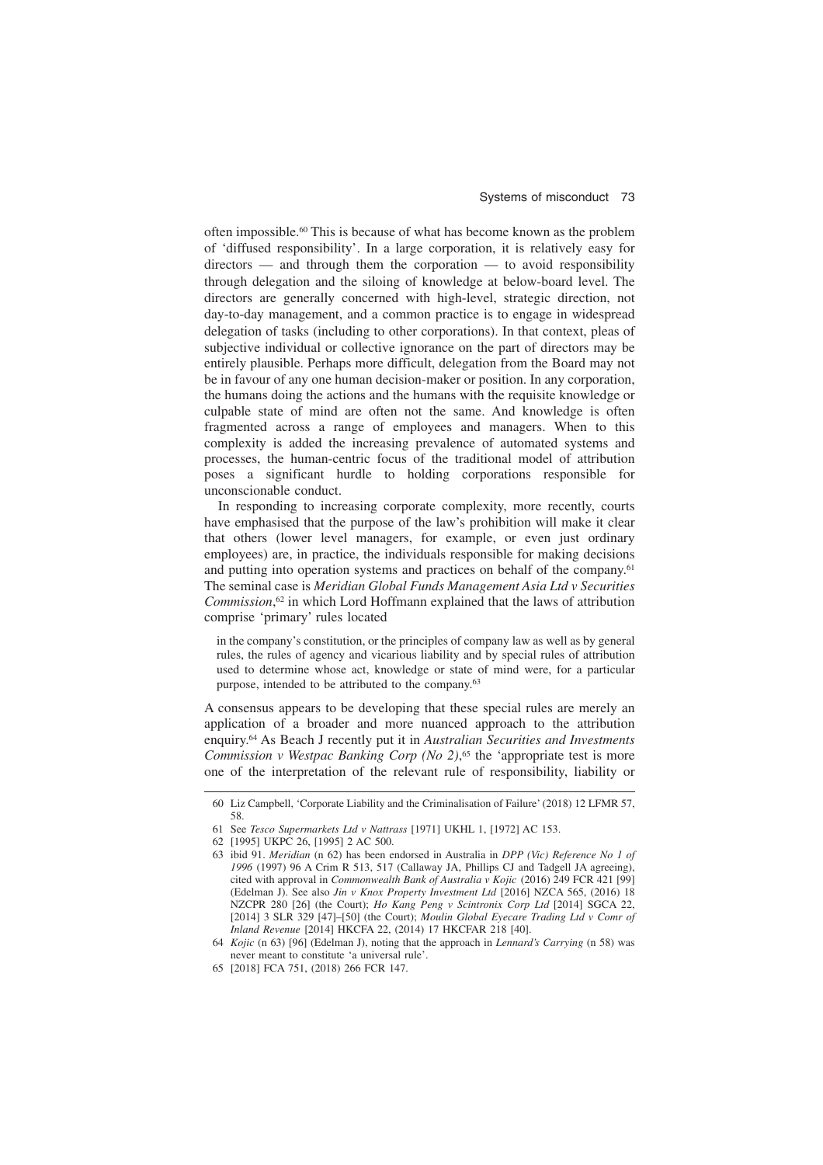often impossible.60 This is because of what has become known as the problem of 'diffused responsibility'. In a large corporation, it is relatively easy for directors — and through them the corporation — to avoid responsibility through delegation and the siloing of knowledge at below-board level. The directors are generally concerned with high-level, strategic direction, not day-to-day management, and a common practice is to engage in widespread delegation of tasks (including to other corporations). In that context, pleas of subjective individual or collective ignorance on the part of directors may be entirely plausible. Perhaps more difficult, delegation from the Board may not be in favour of any one human decision-maker or position. In any corporation, the humans doing the actions and the humans with the requisite knowledge or culpable state of mind are often not the same. And knowledge is often fragmented across a range of employees and managers. When to this complexity is added the increasing prevalence of automated systems and processes, the human-centric focus of the traditional model of attribution poses a significant hurdle to holding corporations responsible for unconscionable conduct.

In responding to increasing corporate complexity, more recently, courts have emphasised that the purpose of the law's prohibition will make it clear that others (lower level managers, for example, or even just ordinary employees) are, in practice, the individuals responsible for making decisions and putting into operation systems and practices on behalf of the company.61 The seminal case is *Meridian Global Funds Management Asia Ltd v Securities Commission*, <sup>62</sup> in which Lord Hoffmann explained that the laws of attribution comprise 'primary' rules located

in the company's constitution, or the principles of company law as well as by general rules, the rules of agency and vicarious liability and by special rules of attribution used to determine whose act, knowledge or state of mind were, for a particular purpose, intended to be attributed to the company.63

A consensus appears to be developing that these special rules are merely an application of a broader and more nuanced approach to the attribution enquiry.64 As Beach J recently put it in *Australian Securities and Investments Commission v Westpac Banking Corp (No 2)*, <sup>65</sup> the 'appropriate test is more one of the interpretation of the relevant rule of responsibility, liability or

<sup>60</sup> Liz Campbell, 'Corporate Liability and the Criminalisation of Failure' (2018) 12 LFMR 57, 58.

<sup>61</sup> See *Tesco Supermarkets Ltd v Nattrass* [1971] UKHL 1, [1972] AC 153.

<sup>62 [1995]</sup> UKPC 26, [1995] 2 AC 500.

<sup>63</sup> ibid 91. *Meridian* (n 62) has been endorsed in Australia in *DPP (Vic) Reference No 1 of 1996* (1997) 96 A Crim R 513, 517 (Callaway JA, Phillips CJ and Tadgell JA agreeing), cited with approval in *Commonwealth Bank of Australia v Kojic* (2016) 249 FCR 421 [99] (Edelman J). See also *Jin v Knox Property Investment Ltd* [2016] NZCA 565, (2016) 18 NZCPR 280 [26] (the Court); *Ho Kang Peng v Scintronix Corp Ltd* [2014] SGCA 22, [2014] 3 SLR 329 [47]–[50] (the Court); *Moulin Global Eyecare Trading Ltd v Comr of Inland Revenue* [2014] HKCFA 22, (2014) 17 HKCFAR 218 [40].

<sup>64</sup> *Kojic* (n 63) [96] (Edelman J), noting that the approach in *Lennard's Carrying* (n 58) was never meant to constitute 'a universal rule'.

<sup>65 [2018]</sup> FCA 751, (2018) 266 FCR 147.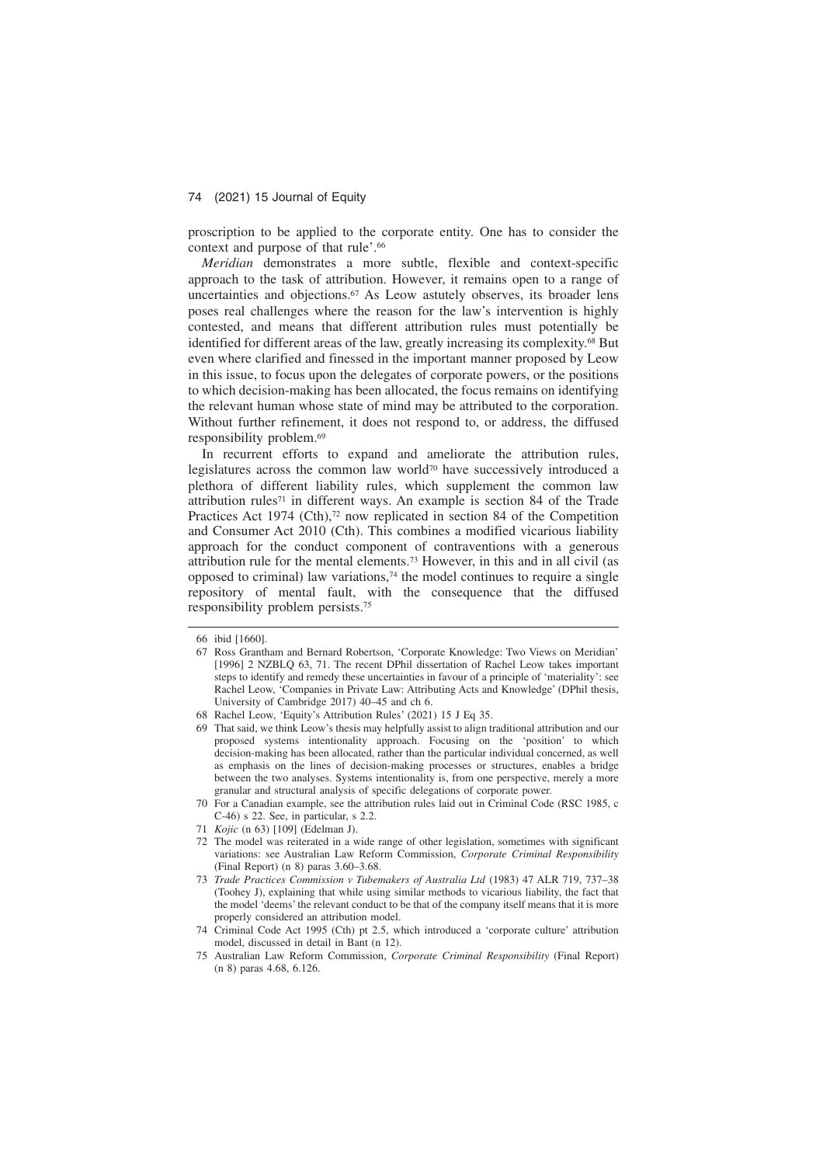proscription to be applied to the corporate entity. One has to consider the context and purpose of that rule'.<sup>66</sup>

*Meridian* demonstrates a more subtle, flexible and context-specific approach to the task of attribution. However, it remains open to a range of uncertainties and objections.<sup>67</sup> As Leow astutely observes, its broader lens poses real challenges where the reason for the law's intervention is highly contested, and means that different attribution rules must potentially be identified for different areas of the law, greatly increasing its complexity.68 But even where clarified and finessed in the important manner proposed by Leow in this issue, to focus upon the delegates of corporate powers, or the positions to which decision-making has been allocated, the focus remains on identifying the relevant human whose state of mind may be attributed to the corporation. Without further refinement, it does not respond to, or address, the diffused responsibility problem.69

In recurrent efforts to expand and ameliorate the attribution rules, legislatures across the common law world70 have successively introduced a plethora of different liability rules, which supplement the common law attribution rules71 in different ways. An example is section 84 of the Trade Practices Act 1974 (Cth), $72$  now replicated in section 84 of the Competition and Consumer Act 2010 (Cth). This combines a modified vicarious liability approach for the conduct component of contraventions with a generous attribution rule for the mental elements.73 However, in this and in all civil (as opposed to criminal) law variations,74 the model continues to require a single repository of mental fault, with the consequence that the diffused responsibility problem persists.75

<sup>66</sup> ibid [1660].

<sup>67</sup> Ross Grantham and Bernard Robertson, 'Corporate Knowledge: Two Views on Meridian' [1996] 2 NZBLQ 63, 71. The recent DPhil dissertation of Rachel Leow takes important steps to identify and remedy these uncertainties in favour of a principle of 'materiality': see Rachel Leow, 'Companies in Private Law: Attributing Acts and Knowledge' (DPhil thesis, University of Cambridge 2017) 40–45 and ch 6.

<sup>68</sup> Rachel Leow, 'Equity's Attribution Rules' (2021) 15 J Eq 35.

<sup>69</sup> That said, we think Leow's thesis may helpfully assist to align traditional attribution and our proposed systems intentionality approach. Focusing on the 'position' to which decision-making has been allocated, rather than the particular individual concerned, as well as emphasis on the lines of decision-making processes or structures, enables a bridge between the two analyses. Systems intentionality is, from one perspective, merely a more granular and structural analysis of specific delegations of corporate power.

<sup>70</sup> For a Canadian example, see the attribution rules laid out in Criminal Code (RSC 1985, c C-46) s 22. See, in particular, s 2.2.

<sup>71</sup> *Kojic* (n 63) [109] (Edelman J).

<sup>72</sup> The model was reiterated in a wide range of other legislation, sometimes with significant variations: see Australian Law Reform Commission, *Corporate Criminal Responsibility* (Final Report) (n 8) paras 3.60–3.68.

<sup>73</sup> *Trade Practices Commission v Tubemakers of Australia Ltd* (1983) 47 ALR 719, 737–38 (Toohey J), explaining that while using similar methods to vicarious liability, the fact that the model 'deems' the relevant conduct to be that of the company itself means that it is more properly considered an attribution model.

<sup>74</sup> Criminal Code Act 1995 (Cth) pt 2.5, which introduced a 'corporate culture' attribution model, discussed in detail in Bant (n 12).

<sup>75</sup> Australian Law Reform Commission, *Corporate Criminal Responsibility* (Final Report) (n 8) paras 4.68, 6.126.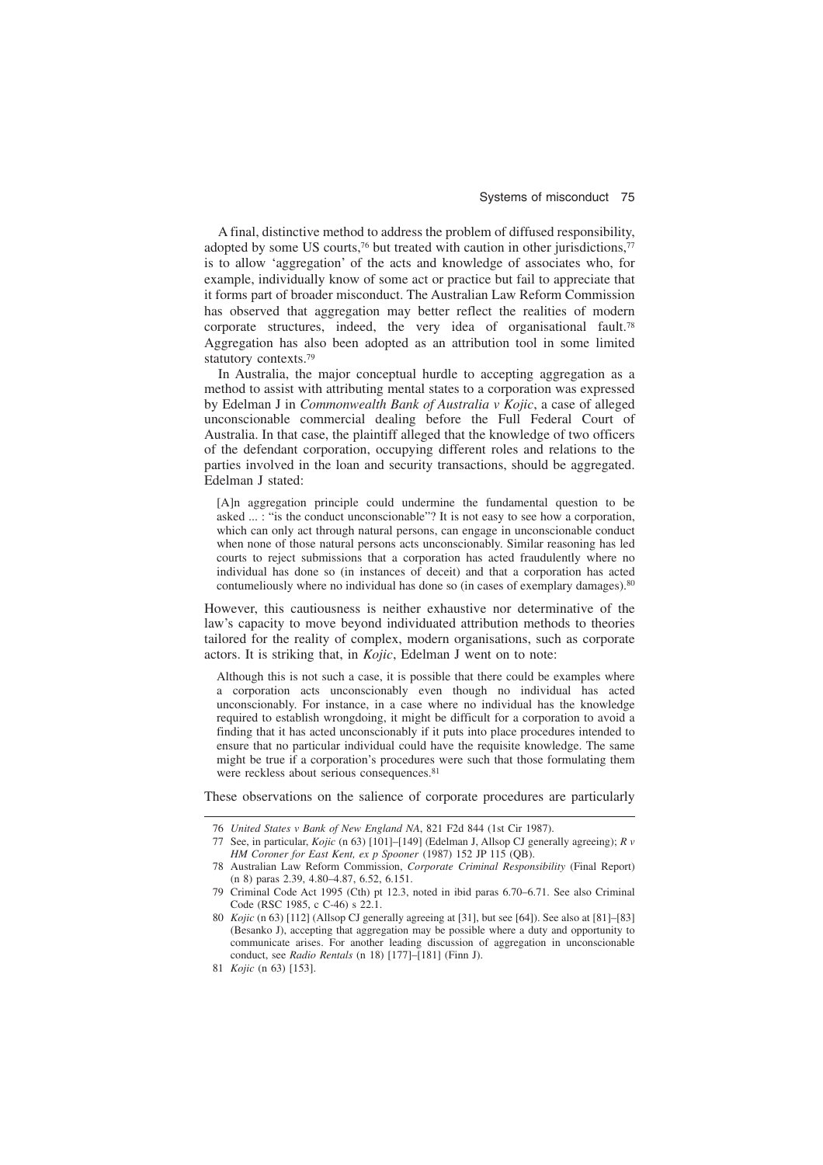A final, distinctive method to address the problem of diffused responsibility, adopted by some US courts,<sup>76</sup> but treated with caution in other jurisdictions,<sup>77</sup> is to allow 'aggregation' of the acts and knowledge of associates who, for example, individually know of some act or practice but fail to appreciate that it forms part of broader misconduct. The Australian Law Reform Commission has observed that aggregation may better reflect the realities of modern corporate structures, indeed, the very idea of organisational fault.78 Aggregation has also been adopted as an attribution tool in some limited statutory contexts.79

In Australia, the major conceptual hurdle to accepting aggregation as a method to assist with attributing mental states to a corporation was expressed by Edelman J in *Commonwealth Bank of Australia v Kojic*, a case of alleged unconscionable commercial dealing before the Full Federal Court of Australia. In that case, the plaintiff alleged that the knowledge of two officers of the defendant corporation, occupying different roles and relations to the parties involved in the loan and security transactions, should be aggregated. Edelman J stated:

[A]n aggregation principle could undermine the fundamental question to be asked ... : "is the conduct unconscionable"? It is not easy to see how a corporation, which can only act through natural persons, can engage in unconscionable conduct when none of those natural persons acts unconscionably. Similar reasoning has led courts to reject submissions that a corporation has acted fraudulently where no individual has done so (in instances of deceit) and that a corporation has acted contumeliously where no individual has done so (in cases of exemplary damages).<sup>80</sup>

However, this cautiousness is neither exhaustive nor determinative of the law's capacity to move beyond individuated attribution methods to theories tailored for the reality of complex, modern organisations, such as corporate actors. It is striking that, in *Kojic*, Edelman J went on to note:

Although this is not such a case, it is possible that there could be examples where a corporation acts unconscionably even though no individual has acted unconscionably. For instance, in a case where no individual has the knowledge required to establish wrongdoing, it might be difficult for a corporation to avoid a finding that it has acted unconscionably if it puts into place procedures intended to ensure that no particular individual could have the requisite knowledge. The same might be true if a corporation's procedures were such that those formulating them were reckless about serious consequences.<sup>81</sup>

These observations on the salience of corporate procedures are particularly

<sup>76</sup> *United States v Bank of New England NA*, 821 F2d 844 (1st Cir 1987).

<sup>77</sup> See, in particular, *Kojic* (n 63) [101]–[149] (Edelman J, Allsop CJ generally agreeing); *R v HM Coroner for East Kent, ex p Spooner* (1987) 152 JP 115 (QB).

<sup>78</sup> Australian Law Reform Commission, *Corporate Criminal Responsibility* (Final Report) (n 8) paras 2.39, 4.80–4.87, 6.52, 6.151.

<sup>79</sup> Criminal Code Act 1995 (Cth) pt 12.3, noted in ibid paras 6.70–6.71. See also Criminal Code (RSC 1985, c C-46) s 22.1.

<sup>80</sup> *Kojic* (n 63) [112] (Allsop CJ generally agreeing at [31], but see [64]). See also at [81]–[83] (Besanko J), accepting that aggregation may be possible where a duty and opportunity to communicate arises. For another leading discussion of aggregation in unconscionable conduct, see *Radio Rentals* (n 18) [177]–[181] (Finn J).

<sup>81</sup> *Kojic* (n 63) [153].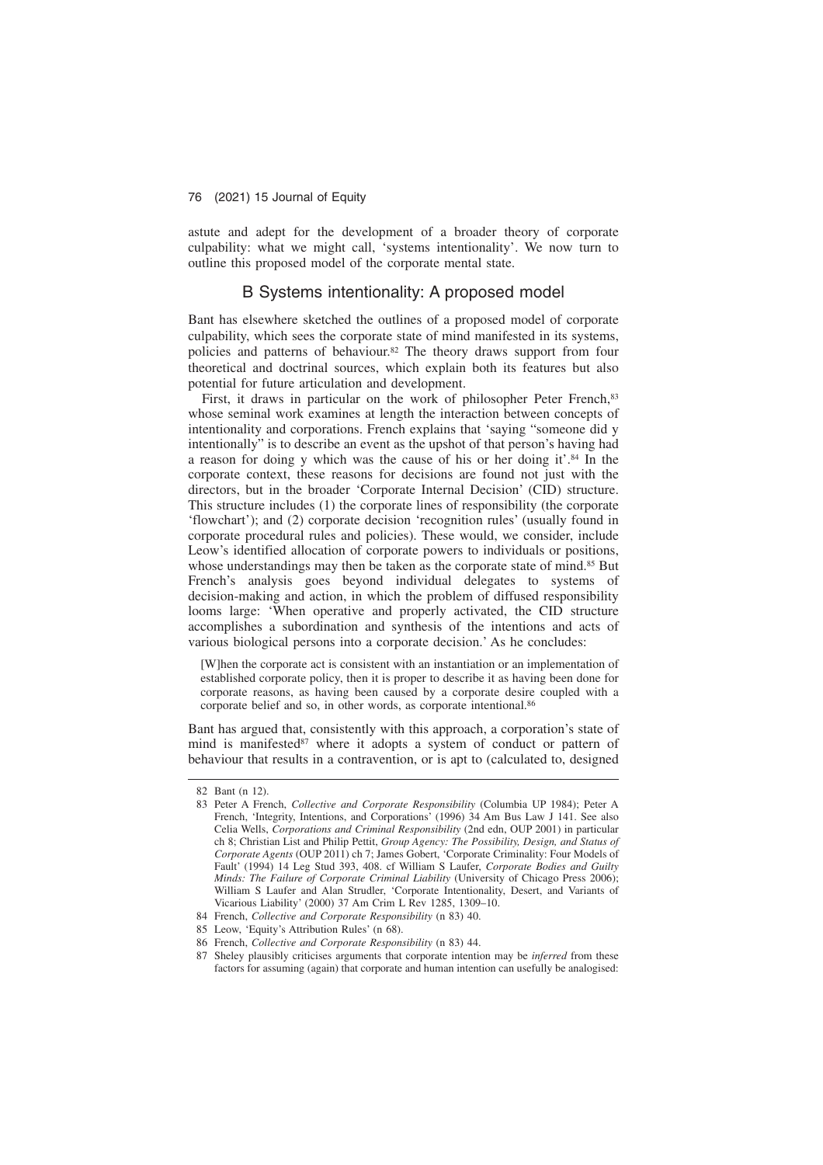astute and adept for the development of a broader theory of corporate culpability: what we might call, 'systems intentionality'. We now turn to outline this proposed model of the corporate mental state.

# B Systems intentionality: A proposed model

Bant has elsewhere sketched the outlines of a proposed model of corporate culpability, which sees the corporate state of mind manifested in its systems, policies and patterns of behaviour.82 The theory draws support from four theoretical and doctrinal sources, which explain both its features but also potential for future articulation and development.

First, it draws in particular on the work of philosopher Peter French, 83 whose seminal work examines at length the interaction between concepts of intentionality and corporations. French explains that 'saying "someone did y intentionally" is to describe an event as the upshot of that person's having had a reason for doing y which was the cause of his or her doing it'.84 In the corporate context, these reasons for decisions are found not just with the directors, but in the broader 'Corporate Internal Decision' (CID) structure. This structure includes (1) the corporate lines of responsibility (the corporate 'flowchart'); and (2) corporate decision 'recognition rules' (usually found in corporate procedural rules and policies). These would, we consider, include Leow's identified allocation of corporate powers to individuals or positions, whose understandings may then be taken as the corporate state of mind.<sup>85</sup> But French's analysis goes beyond individual delegates to systems of decision-making and action, in which the problem of diffused responsibility looms large: 'When operative and properly activated, the CID structure accomplishes a subordination and synthesis of the intentions and acts of various biological persons into a corporate decision.' As he concludes:

[W]hen the corporate act is consistent with an instantiation or an implementation of established corporate policy, then it is proper to describe it as having been done for corporate reasons, as having been caused by a corporate desire coupled with a corporate belief and so, in other words, as corporate intentional.<sup>86</sup>

Bant has argued that, consistently with this approach, a corporation's state of mind is manifested<sup>87</sup> where it adopts a system of conduct or pattern of behaviour that results in a contravention, or is apt to (calculated to, designed

<sup>82</sup> Bant (n 12).

<sup>83</sup> Peter A French, *Collective and Corporate Responsibility* (Columbia UP 1984); Peter A French, 'Integrity, Intentions, and Corporations' (1996) 34 Am Bus Law J 141. See also Celia Wells, *Corporations and Criminal Responsibility* (2nd edn, OUP 2001) in particular ch 8; Christian List and Philip Pettit, *Group Agency: The Possibility, Design, and Status of Corporate Agents* (OUP 2011) ch 7; James Gobert, 'Corporate Criminality: Four Models of Fault' (1994) 14 Leg Stud 393, 408. cf William S Laufer, *Corporate Bodies and Guilty Minds: The Failure of Corporate Criminal Liability* (University of Chicago Press 2006); William S Laufer and Alan Strudler, 'Corporate Intentionality, Desert, and Variants of Vicarious Liability' (2000) 37 Am Crim L Rev 1285, 1309–10.

<sup>84</sup> French, *Collective and Corporate Responsibility* (n 83) 40.

<sup>85</sup> Leow, 'Equity's Attribution Rules' (n 68).

<sup>86</sup> French, *Collective and Corporate Responsibility* (n 83) 44.

<sup>87</sup> Sheley plausibly criticises arguments that corporate intention may be *inferred* from these factors for assuming (again) that corporate and human intention can usefully be analogised: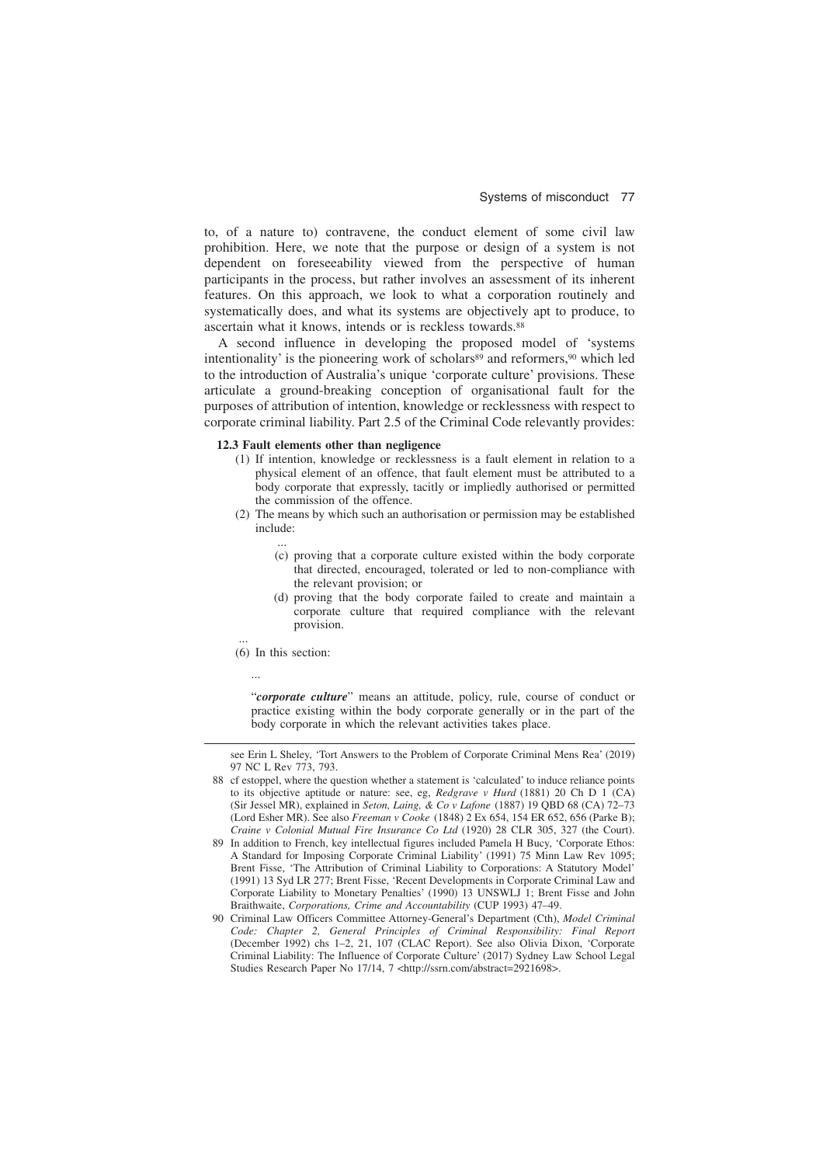to, of a nature to) contravene, the conduct element of some civil law prohibition. Here, we note that the purpose or design of a system is not dependent on foreseeability viewed from the perspective of human participants in the process, but rather involves an assessment of its inherent features. On this approach, we look to what a corporation routinely and systematically does, and what its systems are objectively apt to produce, to ascertain what it knows, intends or is reckless towards.<sup>88</sup>

A second influence in developing the proposed model of 'systems intentionality' is the pioneering work of scholars $89$  and reformers,  $90$  which led to the introduction of Australia's unique 'corporate culture' provisions. These articulate a ground-breaking conception of organisational fault for the purposes of attribution of intention, knowledge or recklessness with respect to corporate criminal liability. Part 2.5 of the Criminal Code relevantly provides:

#### **12.3 Fault elements other than negligence**

- (1) If intention, knowledge or recklessness is a fault element in relation to a physical element of an offence, that fault element must be attributed to a body corporate that expressly, tacitly or impliedly authorised or permitted the commission of the offence.
- (2) The means by which such an authorisation or permission may be established include:
	- (c) proving that a corporate culture existed within the body corporate that directed, encouraged, tolerated or led to non-compliance with the relevant provision; or
	- (d) proving that the body corporate failed to create and maintain a corporate culture that required compliance with the relevant provision.
- (6) In this section:

...

...

...

"*corporate culture*" means an attitude, policy, rule, course of conduct or practice existing within the body corporate generally or in the part of the body corporate in which the relevant activities takes place.

see Erin L Sheley, 'Tort Answers to the Problem of Corporate Criminal Mens Rea' (2019) 97 NC L Rev 773, 793.

<sup>88</sup> cf estoppel, where the question whether a statement is 'calculated' to induce reliance points to its objective aptitude or nature: see, eg, *Redgrave v Hurd* (1881) 20 Ch D 1 (CA) (Sir Jessel MR), explained in *Seton, Laing, & Co v Lafone* (1887) 19 QBD 68 (CA) 72–73 (Lord Esher MR). See also *Freeman v Cooke* (1848) 2 Ex 654, 154 ER 652, 656 (Parke B); *Craine v Colonial Mutual Fire Insurance Co Ltd* (1920) 28 CLR 305, 327 (the Court).

<sup>89</sup> In addition to French, key intellectual figures included Pamela H Bucy, 'Corporate Ethos: A Standard for Imposing Corporate Criminal Liability' (1991) 75 Minn Law Rev 1095; Brent Fisse, 'The Attribution of Criminal Liability to Corporations: A Statutory Model' (1991) 13 Syd LR 277; Brent Fisse, 'Recent Developments in Corporate Criminal Law and Corporate Liability to Monetary Penalties' (1990) 13 UNSWLJ 1; Brent Fisse and John Braithwaite, *Corporations, Crime and Accountability* (CUP 1993) 47–49.

<sup>90</sup> Criminal Law Officers Committee Attorney-General's Department (Cth), *Model Criminal Code: Chapter 2, General Principles of Criminal Responsibility: Final Report* (December 1992) chs 1–2, 21, 107 (CLAC Report). See also Olivia Dixon, 'Corporate Criminal Liability: The Influence of Corporate Culture' (2017) Sydney Law School Legal Studies Research Paper No 17/14, 7 <http://ssrn.com/abstract=2921698>.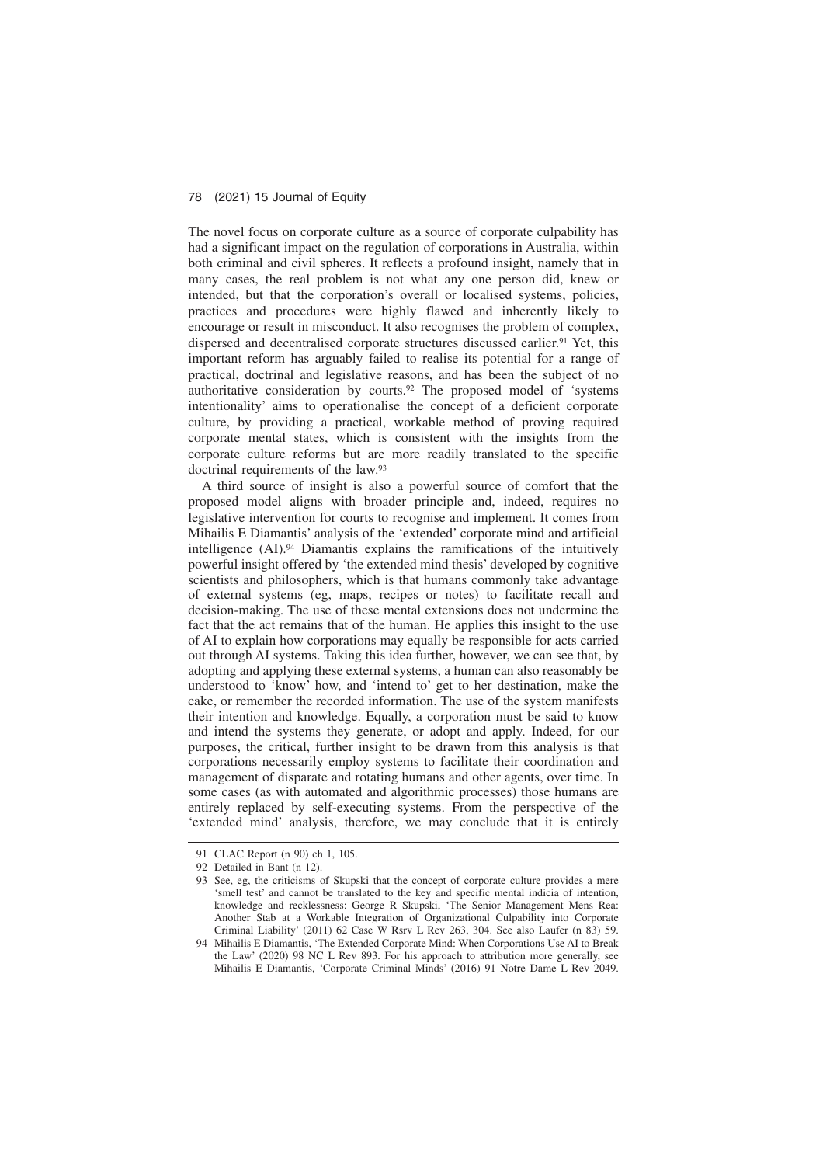The novel focus on corporate culture as a source of corporate culpability has had a significant impact on the regulation of corporations in Australia, within both criminal and civil spheres. It reflects a profound insight, namely that in many cases, the real problem is not what any one person did, knew or intended, but that the corporation's overall or localised systems, policies, practices and procedures were highly flawed and inherently likely to encourage or result in misconduct. It also recognises the problem of complex, dispersed and decentralised corporate structures discussed earlier.<sup>91</sup> Yet, this important reform has arguably failed to realise its potential for a range of practical, doctrinal and legislative reasons, and has been the subject of no authoritative consideration by courts.92 The proposed model of 'systems intentionality' aims to operationalise the concept of a deficient corporate culture, by providing a practical, workable method of proving required corporate mental states, which is consistent with the insights from the corporate culture reforms but are more readily translated to the specific doctrinal requirements of the law.93

A third source of insight is also a powerful source of comfort that the proposed model aligns with broader principle and, indeed, requires no legislative intervention for courts to recognise and implement. It comes from Mihailis E Diamantis' analysis of the 'extended' corporate mind and artificial intelligence (AI).94 Diamantis explains the ramifications of the intuitively powerful insight offered by 'the extended mind thesis' developed by cognitive scientists and philosophers, which is that humans commonly take advantage of external systems (eg, maps, recipes or notes) to facilitate recall and decision-making. The use of these mental extensions does not undermine the fact that the act remains that of the human. He applies this insight to the use of AI to explain how corporations may equally be responsible for acts carried out through AI systems. Taking this idea further, however, we can see that, by adopting and applying these external systems, a human can also reasonably be understood to 'know' how, and 'intend to' get to her destination, make the cake, or remember the recorded information. The use of the system manifests their intention and knowledge. Equally, a corporation must be said to know and intend the systems they generate, or adopt and apply. Indeed, for our purposes, the critical, further insight to be drawn from this analysis is that corporations necessarily employ systems to facilitate their coordination and management of disparate and rotating humans and other agents, over time. In some cases (as with automated and algorithmic processes) those humans are entirely replaced by self-executing systems. From the perspective of the 'extended mind' analysis, therefore, we may conclude that it is entirely

<sup>91</sup> CLAC Report (n 90) ch 1, 105.

<sup>92</sup> Detailed in Bant (n 12).

<sup>93</sup> See, eg, the criticisms of Skupski that the concept of corporate culture provides a mere 'smell test' and cannot be translated to the key and specific mental indicia of intention, knowledge and recklessness: George R Skupski, 'The Senior Management Mens Rea: Another Stab at a Workable Integration of Organizational Culpability into Corporate Criminal Liability' (2011) 62 Case W Rsrv L Rev 263, 304. See also Laufer (n 83) 59.

<sup>94</sup> Mihailis E Diamantis, 'The Extended Corporate Mind: When Corporations Use AI to Break the Law' (2020) 98 NC L Rev 893. For his approach to attribution more generally, see Mihailis E Diamantis, 'Corporate Criminal Minds' (2016) 91 Notre Dame L Rev 2049.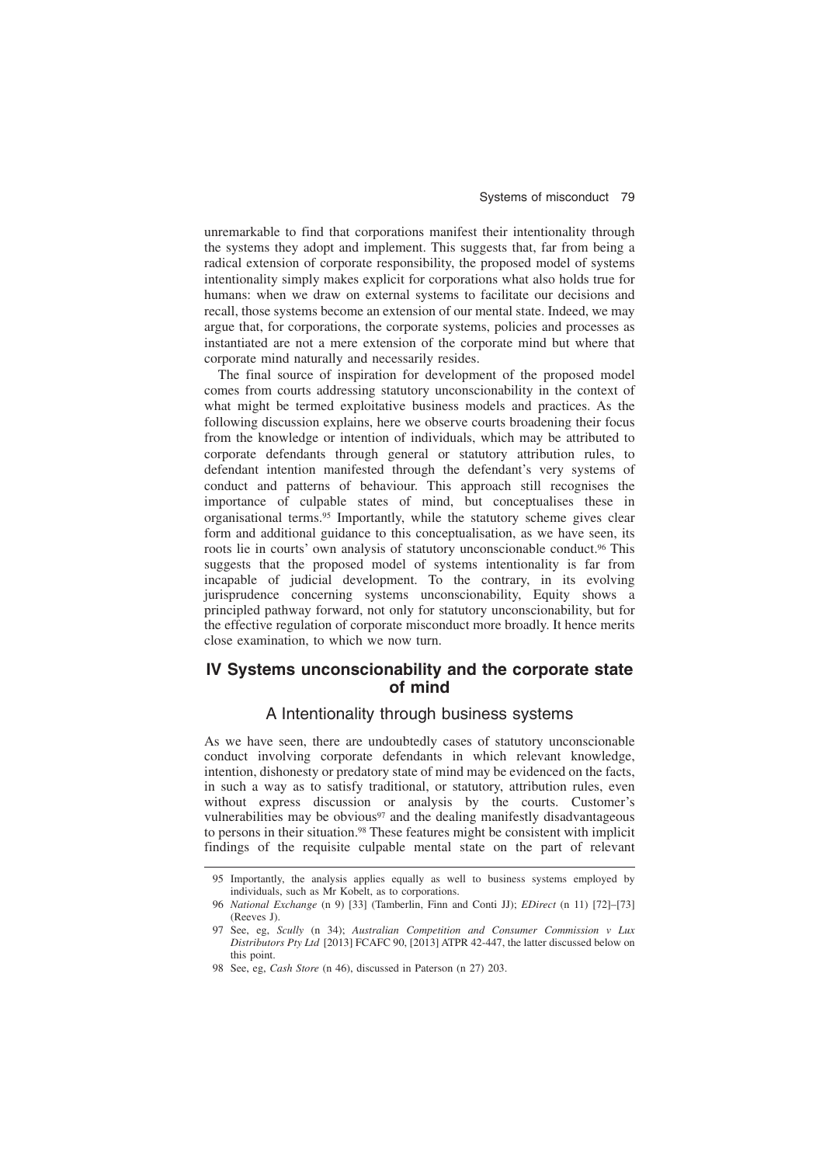unremarkable to find that corporations manifest their intentionality through the systems they adopt and implement. This suggests that, far from being a radical extension of corporate responsibility, the proposed model of systems intentionality simply makes explicit for corporations what also holds true for humans: when we draw on external systems to facilitate our decisions and recall, those systems become an extension of our mental state. Indeed, we may argue that, for corporations, the corporate systems, policies and processes as instantiated are not a mere extension of the corporate mind but where that corporate mind naturally and necessarily resides.

The final source of inspiration for development of the proposed model comes from courts addressing statutory unconscionability in the context of what might be termed exploitative business models and practices. As the following discussion explains, here we observe courts broadening their focus from the knowledge or intention of individuals, which may be attributed to corporate defendants through general or statutory attribution rules, to defendant intention manifested through the defendant's very systems of conduct and patterns of behaviour. This approach still recognises the importance of culpable states of mind, but conceptualises these in organisational terms.95 Importantly, while the statutory scheme gives clear form and additional guidance to this conceptualisation, as we have seen, its roots lie in courts' own analysis of statutory unconscionable conduct.96 This suggests that the proposed model of systems intentionality is far from incapable of judicial development. To the contrary, in its evolving jurisprudence concerning systems unconscionability, Equity shows a principled pathway forward, not only for statutory unconscionability, but for the effective regulation of corporate misconduct more broadly. It hence merits close examination, to which we now turn.

# **IV Systems unconscionability and the corporate state of mind**

### A Intentionality through business systems

As we have seen, there are undoubtedly cases of statutory unconscionable conduct involving corporate defendants in which relevant knowledge, intention, dishonesty or predatory state of mind may be evidenced on the facts, in such a way as to satisfy traditional, or statutory, attribution rules, even without express discussion or analysis by the courts. Customer's vulnerabilities may be obvious<sup>97</sup> and the dealing manifestly disadvantageous to persons in their situation.<sup>98</sup> These features might be consistent with implicit findings of the requisite culpable mental state on the part of relevant

<sup>95</sup> Importantly, the analysis applies equally as well to business systems employed by individuals, such as Mr Kobelt, as to corporations.

<sup>96</sup> *National Exchange* (n 9) [33] (Tamberlin, Finn and Conti JJ); *EDirect* (n 11) [72]–[73] (Reeves J).

<sup>97</sup> See, eg, *Scully* (n 34); *Australian Competition and Consumer Commission v Lux Distributors Pty Ltd* [2013] FCAFC 90, [2013] ATPR 42-447, the latter discussed below on this point.

<sup>98</sup> See, eg, *Cash Store* (n 46), discussed in Paterson (n 27) 203.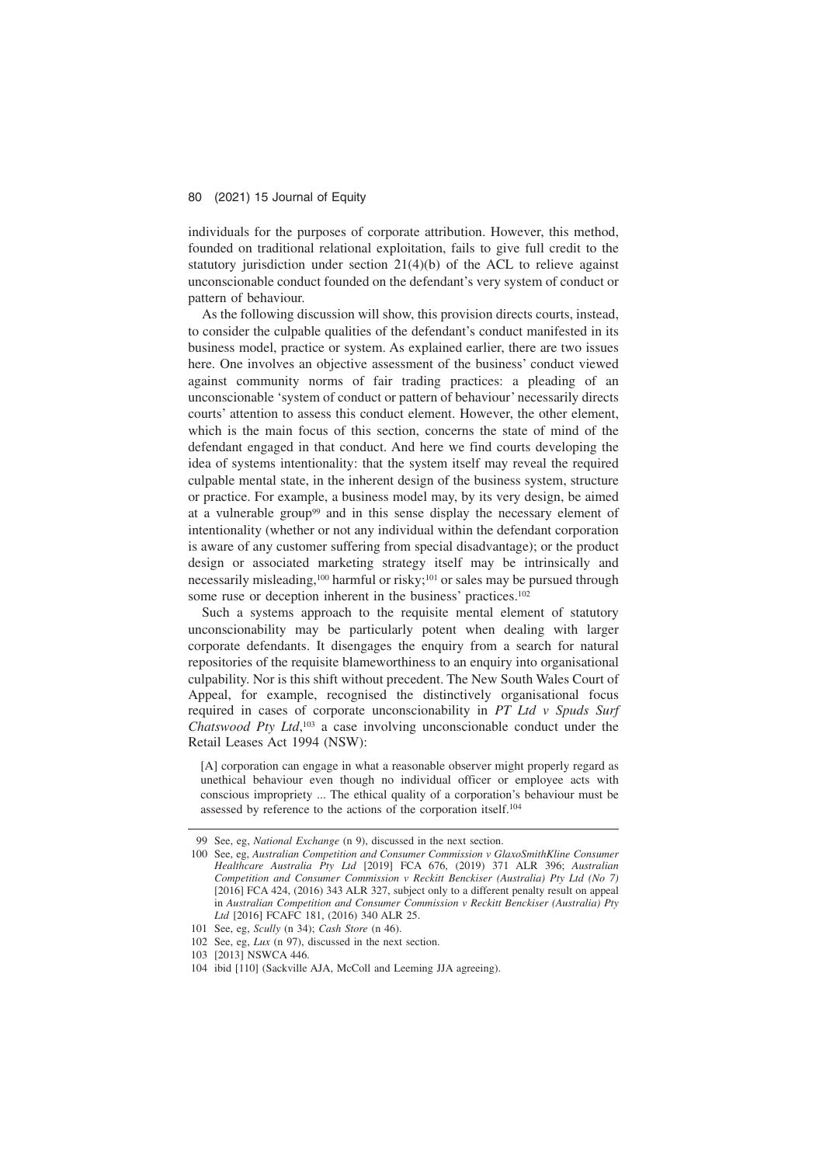individuals for the purposes of corporate attribution. However, this method, founded on traditional relational exploitation, fails to give full credit to the statutory jurisdiction under section 21(4)(b) of the ACL to relieve against unconscionable conduct founded on the defendant's very system of conduct or pattern of behaviour.

As the following discussion will show, this provision directs courts, instead, to consider the culpable qualities of the defendant's conduct manifested in its business model, practice or system. As explained earlier, there are two issues here. One involves an objective assessment of the business' conduct viewed against community norms of fair trading practices: a pleading of an unconscionable 'system of conduct or pattern of behaviour' necessarily directs courts' attention to assess this conduct element. However, the other element, which is the main focus of this section, concerns the state of mind of the defendant engaged in that conduct. And here we find courts developing the idea of systems intentionality: that the system itself may reveal the required culpable mental state, in the inherent design of the business system, structure or practice. For example, a business model may, by its very design, be aimed at a vulnerable group<sup>99</sup> and in this sense display the necessary element of intentionality (whether or not any individual within the defendant corporation is aware of any customer suffering from special disadvantage); or the product design or associated marketing strategy itself may be intrinsically and necessarily misleading,<sup>100</sup> harmful or risky;<sup>101</sup> or sales may be pursued through some ruse or deception inherent in the business' practices.<sup>102</sup>

Such a systems approach to the requisite mental element of statutory unconscionability may be particularly potent when dealing with larger corporate defendants. It disengages the enquiry from a search for natural repositories of the requisite blameworthiness to an enquiry into organisational culpability. Nor is this shift without precedent. The New South Wales Court of Appeal, for example, recognised the distinctively organisational focus required in cases of corporate unconscionability in *PT Ltd v Spuds Surf Chatswood Pty Ltd*, <sup>103</sup> a case involving unconscionable conduct under the Retail Leases Act 1994 (NSW):

[A] corporation can engage in what a reasonable observer might properly regard as unethical behaviour even though no individual officer or employee acts with conscious impropriety ... The ethical quality of a corporation's behaviour must be assessed by reference to the actions of the corporation itself.104

<sup>99</sup> See, eg, *National Exchange* (n 9), discussed in the next section.

<sup>100</sup> See, eg, *Australian Competition and Consumer Commission v GlaxoSmithKline Consumer Healthcare Australia Pty Ltd* [2019] FCA 676, (2019) 371 ALR 396; *Australian Competition and Consumer Commission v Reckitt Benckiser (Australia) Pty Ltd (No 7)* [2016] FCA 424, (2016) 343 ALR 327, subject only to a different penalty result on appeal in *Australian Competition and Consumer Commission v Reckitt Benckiser (Australia) Pty* Ltd [2016] FCAFC 181, (2016) 340 ALR 25.

<sup>101</sup> See, eg, *Scully* (n 34); *Cash Store* (n 46).

<sup>102</sup> See, eg, *Lux* (n 97), discussed in the next section.

<sup>103 [2013]</sup> NSWCA 446.

<sup>104</sup> ibid [110] (Sackville AJA, McColl and Leeming JJA agreeing).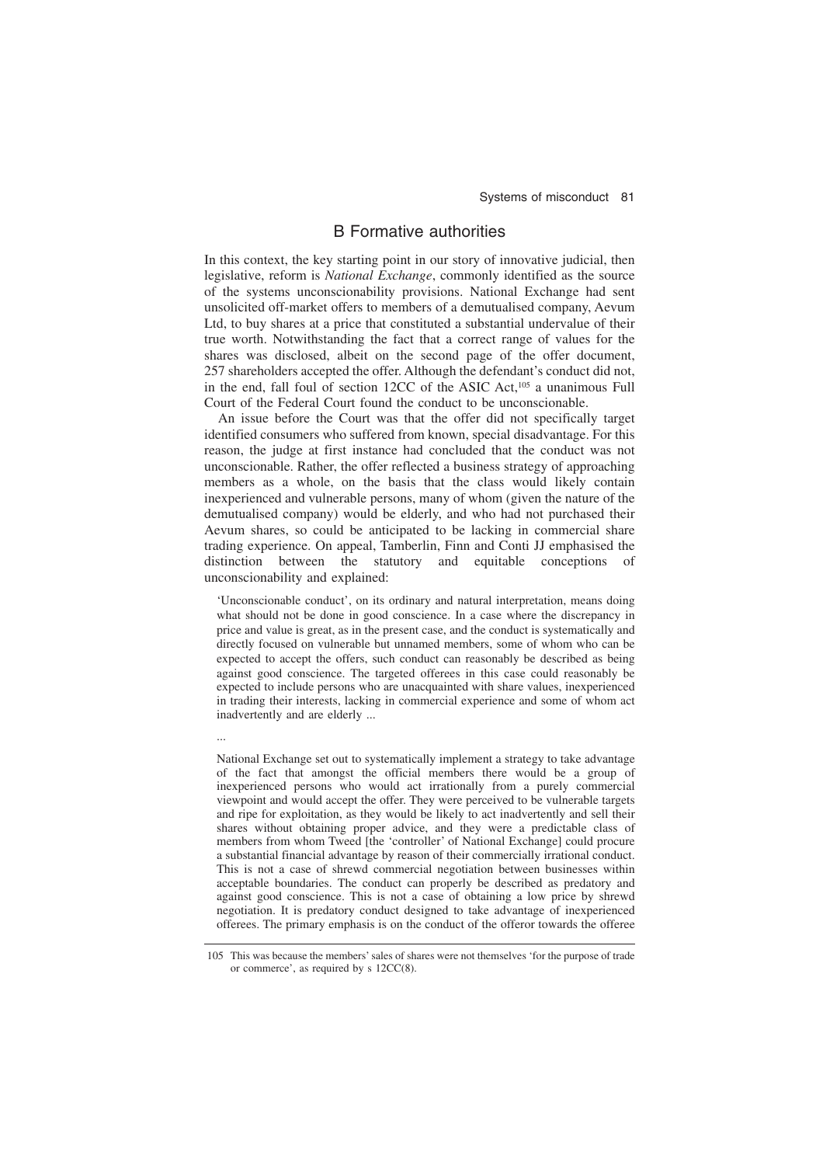# B Formative authorities

In this context, the key starting point in our story of innovative judicial, then legislative, reform is *National Exchange*, commonly identified as the source of the systems unconscionability provisions. National Exchange had sent unsolicited off-market offers to members of a demutualised company, Aevum Ltd, to buy shares at a price that constituted a substantial undervalue of their true worth. Notwithstanding the fact that a correct range of values for the shares was disclosed, albeit on the second page of the offer document, 257 shareholders accepted the offer. Although the defendant's conduct did not, in the end, fall foul of section 12CC of the ASIC Act,<sup>105</sup> a unanimous Full Court of the Federal Court found the conduct to be unconscionable.

An issue before the Court was that the offer did not specifically target identified consumers who suffered from known, special disadvantage. For this reason, the judge at first instance had concluded that the conduct was not unconscionable. Rather, the offer reflected a business strategy of approaching members as a whole, on the basis that the class would likely contain inexperienced and vulnerable persons, many of whom (given the nature of the demutualised company) would be elderly, and who had not purchased their Aevum shares, so could be anticipated to be lacking in commercial share trading experience. On appeal, Tamberlin, Finn and Conti JJ emphasised the distinction between the statutory and equitable conceptions of unconscionability and explained:

'Unconscionable conduct', on its ordinary and natural interpretation, means doing what should not be done in good conscience. In a case where the discrepancy in price and value is great, as in the present case, and the conduct is systematically and directly focused on vulnerable but unnamed members, some of whom who can be expected to accept the offers, such conduct can reasonably be described as being against good conscience. The targeted offerees in this case could reasonably be expected to include persons who are unacquainted with share values, inexperienced in trading their interests, lacking in commercial experience and some of whom act inadvertently and are elderly ...

...

National Exchange set out to systematically implement a strategy to take advantage of the fact that amongst the official members there would be a group of inexperienced persons who would act irrationally from a purely commercial viewpoint and would accept the offer. They were perceived to be vulnerable targets and ripe for exploitation, as they would be likely to act inadvertently and sell their shares without obtaining proper advice, and they were a predictable class of members from whom Tweed [the 'controller' of National Exchange] could procure a substantial financial advantage by reason of their commercially irrational conduct. This is not a case of shrewd commercial negotiation between businesses within acceptable boundaries. The conduct can properly be described as predatory and against good conscience. This is not a case of obtaining a low price by shrewd negotiation. It is predatory conduct designed to take advantage of inexperienced offerees. The primary emphasis is on the conduct of the offeror towards the offeree

<sup>105</sup> This was because the members' sales of shares were not themselves 'for the purpose of trade or commerce', as required by s 12CC(8).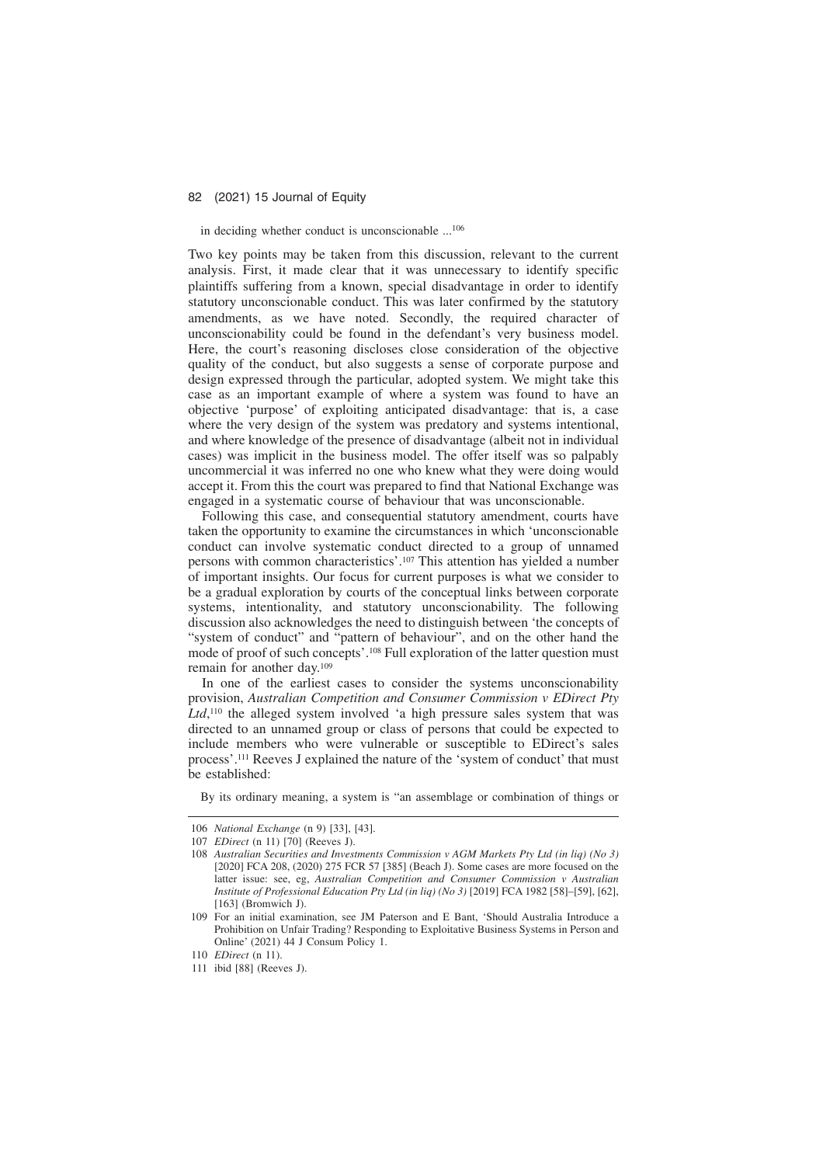### in deciding whether conduct is unconscionable ...106

Two key points may be taken from this discussion, relevant to the current analysis. First, it made clear that it was unnecessary to identify specific plaintiffs suffering from a known, special disadvantage in order to identify statutory unconscionable conduct. This was later confirmed by the statutory amendments, as we have noted. Secondly, the required character of unconscionability could be found in the defendant's very business model. Here, the court's reasoning discloses close consideration of the objective quality of the conduct, but also suggests a sense of corporate purpose and design expressed through the particular, adopted system. We might take this case as an important example of where a system was found to have an objective 'purpose' of exploiting anticipated disadvantage: that is, a case where the very design of the system was predatory and systems intentional, and where knowledge of the presence of disadvantage (albeit not in individual cases) was implicit in the business model. The offer itself was so palpably uncommercial it was inferred no one who knew what they were doing would accept it. From this the court was prepared to find that National Exchange was engaged in a systematic course of behaviour that was unconscionable.

Following this case, and consequential statutory amendment, courts have taken the opportunity to examine the circumstances in which 'unconscionable conduct can involve systematic conduct directed to a group of unnamed persons with common characteristics'.107 This attention has yielded a number of important insights. Our focus for current purposes is what we consider to be a gradual exploration by courts of the conceptual links between corporate systems, intentionality, and statutory unconscionability. The following discussion also acknowledges the need to distinguish between 'the concepts of "system of conduct" and "pattern of behaviour", and on the other hand the mode of proof of such concepts'.108 Full exploration of the latter question must remain for another day.109

In one of the earliest cases to consider the systems unconscionability provision, *Australian Competition and Consumer Commission v EDirect Pty* Ltd,<sup>110</sup> the alleged system involved 'a high pressure sales system that was directed to an unnamed group or class of persons that could be expected to include members who were vulnerable or susceptible to EDirect's sales process'.111 Reeves J explained the nature of the 'system of conduct' that must be established:

By its ordinary meaning, a system is "an assemblage or combination of things or

<sup>106</sup> *National Exchange* (n 9) [33], [43].

<sup>107</sup> *EDirect* (n 11) [70] (Reeves J).

<sup>108</sup> *Australian Securities and Investments Commission v AGM Markets Pty Ltd (in liq) (No 3)* [2020] FCA 208, (2020) 275 FCR 57 [385] (Beach J). Some cases are more focused on the latter issue: see, eg, *Australian Competition and Consumer Commission v Australian Institute of Professional Education Pty Ltd (in liq) (No 3)* [2019] FCA 1982 [58]–[59], [62],  $[163]$  (Bromwich J).

<sup>109</sup> For an initial examination, see JM Paterson and E Bant, 'Should Australia Introduce a Prohibition on Unfair Trading? Responding to Exploitative Business Systems in Person and Online' (2021) 44 J Consum Policy 1.

<sup>110</sup> *EDirect* (n 11).

<sup>111</sup> ibid [88] (Reeves J).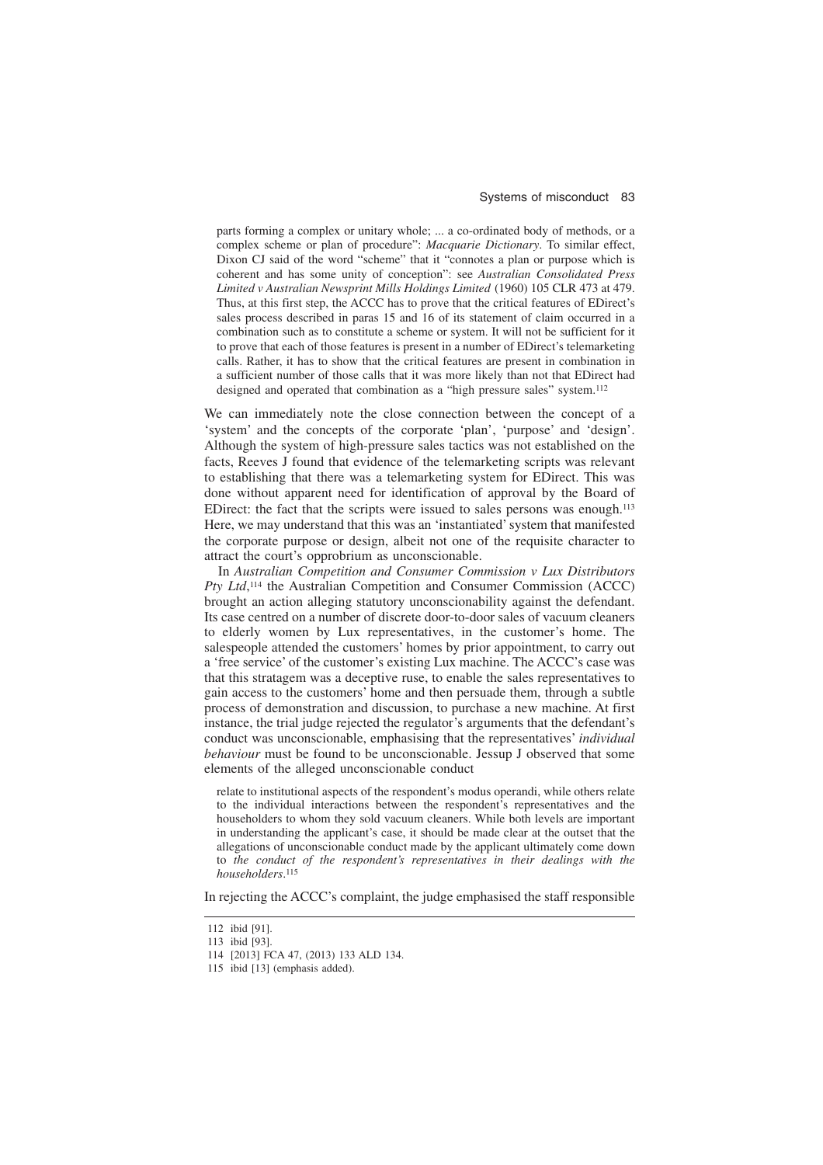#### Systems of misconduct 83

parts forming a complex or unitary whole; ... a co-ordinated body of methods, or a complex scheme or plan of procedure": *Macquarie Dictionary*. To similar effect, Dixon CJ said of the word "scheme" that it "connotes a plan or purpose which is coherent and has some unity of conception": see *Australian Consolidated Press Limited v Australian Newsprint Mills Holdings Limited* (1960) 105 CLR 473 at 479. Thus, at this first step, the ACCC has to prove that the critical features of EDirect's sales process described in paras 15 and 16 of its statement of claim occurred in a combination such as to constitute a scheme or system. It will not be sufficient for it to prove that each of those features is present in a number of EDirect's telemarketing calls. Rather, it has to show that the critical features are present in combination in a sufficient number of those calls that it was more likely than not that EDirect had designed and operated that combination as a "high pressure sales" system.<sup>112</sup>

We can immediately note the close connection between the concept of a 'system' and the concepts of the corporate 'plan', 'purpose' and 'design'. Although the system of high-pressure sales tactics was not established on the facts, Reeves J found that evidence of the telemarketing scripts was relevant to establishing that there was a telemarketing system for EDirect. This was done without apparent need for identification of approval by the Board of EDirect: the fact that the scripts were issued to sales persons was enough.113 Here, we may understand that this was an 'instantiated' system that manifested the corporate purpose or design, albeit not one of the requisite character to attract the court's opprobrium as unconscionable.

In *Australian Competition and Consumer Commission v Lux Distributors* Pty Ltd,<sup>114</sup> the Australian Competition and Consumer Commission (ACCC) brought an action alleging statutory unconscionability against the defendant. Its case centred on a number of discrete door-to-door sales of vacuum cleaners to elderly women by Lux representatives, in the customer's home. The salespeople attended the customers' homes by prior appointment, to carry out a 'free service' of the customer's existing Lux machine. The ACCC's case was that this stratagem was a deceptive ruse, to enable the sales representatives to gain access to the customers' home and then persuade them, through a subtle process of demonstration and discussion, to purchase a new machine. At first instance, the trial judge rejected the regulator's arguments that the defendant's conduct was unconscionable, emphasising that the representatives' *individual behaviour* must be found to be unconscionable. Jessup J observed that some elements of the alleged unconscionable conduct

relate to institutional aspects of the respondent's modus operandi, while others relate to the individual interactions between the respondent's representatives and the householders to whom they sold vacuum cleaners. While both levels are important in understanding the applicant's case, it should be made clear at the outset that the allegations of unconscionable conduct made by the applicant ultimately come down to *the conduct of the respondent's representatives in their dealings with the householders*. 115

In rejecting the ACCC's complaint, the judge emphasised the staff responsible

<sup>112</sup> ibid [91].

<sup>113</sup> ibid [93].

<sup>114 [2013]</sup> FCA 47, (2013) 133 ALD 134.

<sup>115</sup> ibid [13] (emphasis added).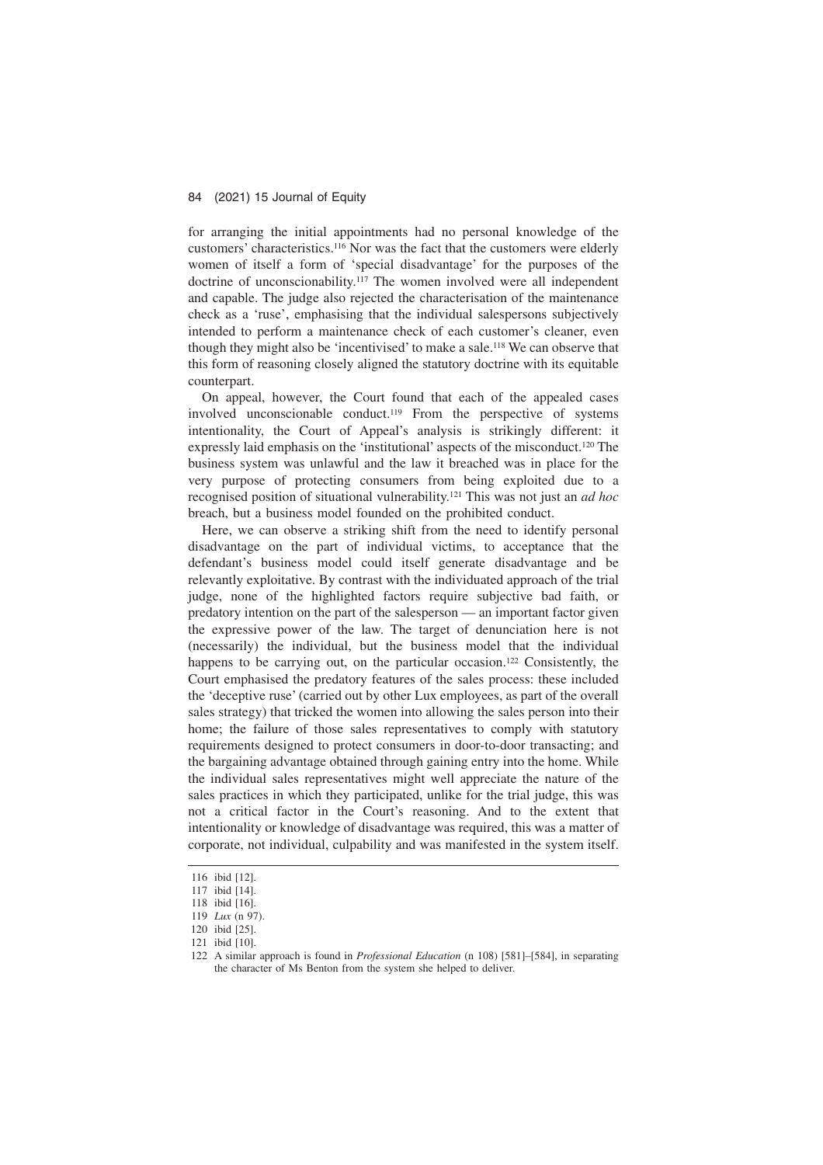for arranging the initial appointments had no personal knowledge of the customers' characteristics.116 Nor was the fact that the customers were elderly women of itself a form of 'special disadvantage' for the purposes of the doctrine of unconscionability.117 The women involved were all independent and capable. The judge also rejected the characterisation of the maintenance check as a 'ruse', emphasising that the individual salespersons subjectively intended to perform a maintenance check of each customer's cleaner, even though they might also be 'incentivised' to make a sale.118 We can observe that this form of reasoning closely aligned the statutory doctrine with its equitable counterpart.

On appeal, however, the Court found that each of the appealed cases involved unconscionable conduct.119 From the perspective of systems intentionality, the Court of Appeal's analysis is strikingly different: it expressly laid emphasis on the 'institutional' aspects of the misconduct.120 The business system was unlawful and the law it breached was in place for the very purpose of protecting consumers from being exploited due to a recognised position of situational vulnerability.121 This was not just an *ad hoc* breach, but a business model founded on the prohibited conduct.

Here, we can observe a striking shift from the need to identify personal disadvantage on the part of individual victims, to acceptance that the defendant's business model could itself generate disadvantage and be relevantly exploitative. By contrast with the individuated approach of the trial judge, none of the highlighted factors require subjective bad faith, or predatory intention on the part of the salesperson — an important factor given the expressive power of the law. The target of denunciation here is not (necessarily) the individual, but the business model that the individual happens to be carrying out, on the particular occasion.<sup>122</sup> Consistently, the Court emphasised the predatory features of the sales process: these included the 'deceptive ruse' (carried out by other Lux employees, as part of the overall sales strategy) that tricked the women into allowing the sales person into their home; the failure of those sales representatives to comply with statutory requirements designed to protect consumers in door-to-door transacting; and the bargaining advantage obtained through gaining entry into the home. While the individual sales representatives might well appreciate the nature of the sales practices in which they participated, unlike for the trial judge, this was not a critical factor in the Court's reasoning. And to the extent that intentionality or knowledge of disadvantage was required, this was a matter of corporate, not individual, culpability and was manifested in the system itself.

<sup>116</sup> ibid [12].

<sup>117</sup> ibid [14].

<sup>118</sup> ibid [16].

<sup>119</sup> *Lux* (n 97).

<sup>120</sup> ibid [25].

<sup>121</sup> ibid [10].

<sup>122</sup> A similar approach is found in *Professional Education* (n 108) [581]–[584], in separating the character of Ms Benton from the system she helped to deliver.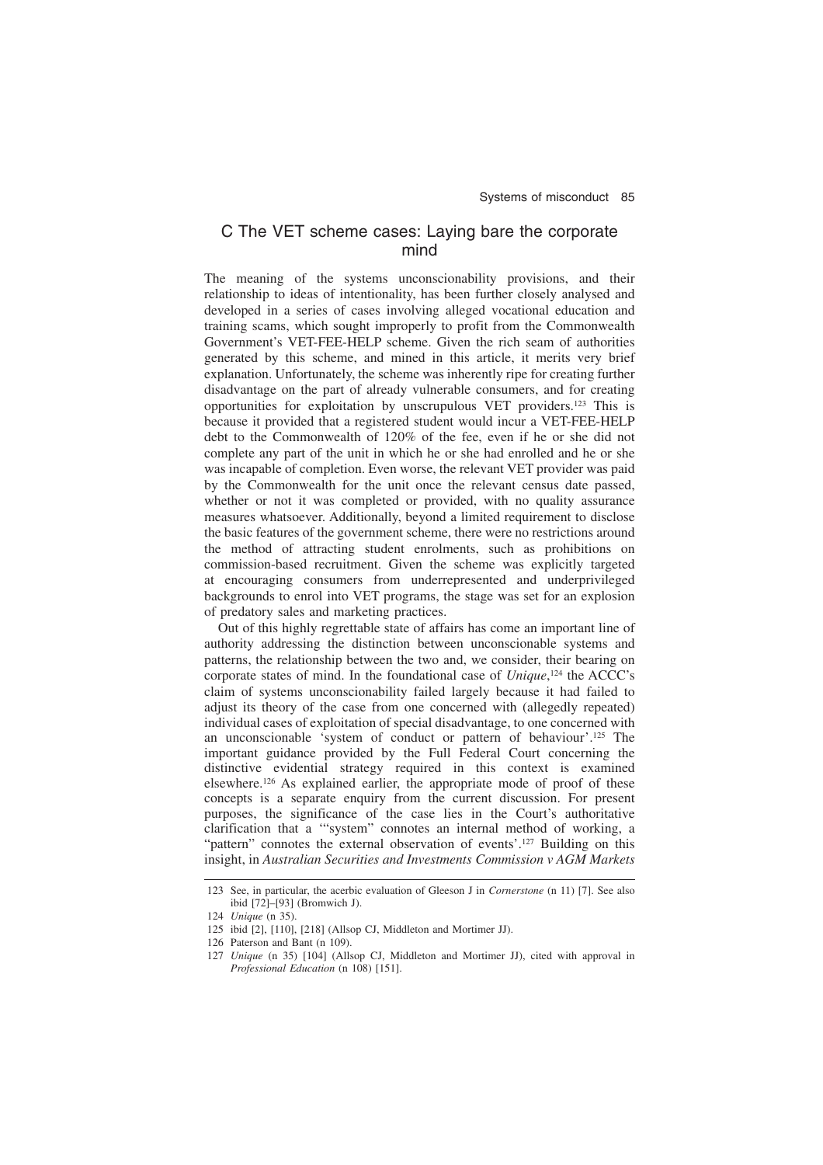# C The VET scheme cases: Laying bare the corporate mind

The meaning of the systems unconscionability provisions, and their relationship to ideas of intentionality, has been further closely analysed and developed in a series of cases involving alleged vocational education and training scams, which sought improperly to profit from the Commonwealth Government's VET-FEE-HELP scheme. Given the rich seam of authorities generated by this scheme, and mined in this article, it merits very brief explanation. Unfortunately, the scheme was inherently ripe for creating further disadvantage on the part of already vulnerable consumers, and for creating opportunities for exploitation by unscrupulous VET providers.123 This is because it provided that a registered student would incur a VET-FEE-HELP debt to the Commonwealth of 120% of the fee, even if he or she did not complete any part of the unit in which he or she had enrolled and he or she was incapable of completion. Even worse, the relevant VET provider was paid by the Commonwealth for the unit once the relevant census date passed, whether or not it was completed or provided, with no quality assurance measures whatsoever. Additionally, beyond a limited requirement to disclose the basic features of the government scheme, there were no restrictions around the method of attracting student enrolments, such as prohibitions on commission-based recruitment. Given the scheme was explicitly targeted at encouraging consumers from underrepresented and underprivileged backgrounds to enrol into VET programs, the stage was set for an explosion of predatory sales and marketing practices.

Out of this highly regrettable state of affairs has come an important line of authority addressing the distinction between unconscionable systems and patterns, the relationship between the two and, we consider, their bearing on corporate states of mind. In the foundational case of *Unique*, <sup>124</sup> the ACCC's claim of systems unconscionability failed largely because it had failed to adjust its theory of the case from one concerned with (allegedly repeated) individual cases of exploitation of special disadvantage, to one concerned with an unconscionable 'system of conduct or pattern of behaviour'.125 The important guidance provided by the Full Federal Court concerning the distinctive evidential strategy required in this context is examined elsewhere.126 As explained earlier, the appropriate mode of proof of these concepts is a separate enquiry from the current discussion. For present purposes, the significance of the case lies in the Court's authoritative clarification that a '"system" connotes an internal method of working, a "pattern" connotes the external observation of events'.<sup>127</sup> Building on this insight, in *Australian Securities and Investments Commission v AGM Markets*

<sup>123</sup> See, in particular, the acerbic evaluation of Gleeson J in *Cornerstone* (n 11) [7]. See also ibid [72]–[93] (Bromwich J).

<sup>124</sup> *Unique* (n 35).

<sup>125</sup> ibid [2], [110], [218] (Allsop CJ, Middleton and Mortimer JJ).

<sup>126</sup> Paterson and Bant (n 109).

<sup>127</sup> *Unique* (n 35) [104] (Allsop CJ, Middleton and Mortimer JJ), cited with approval in *Professional Education* (n 108) [151].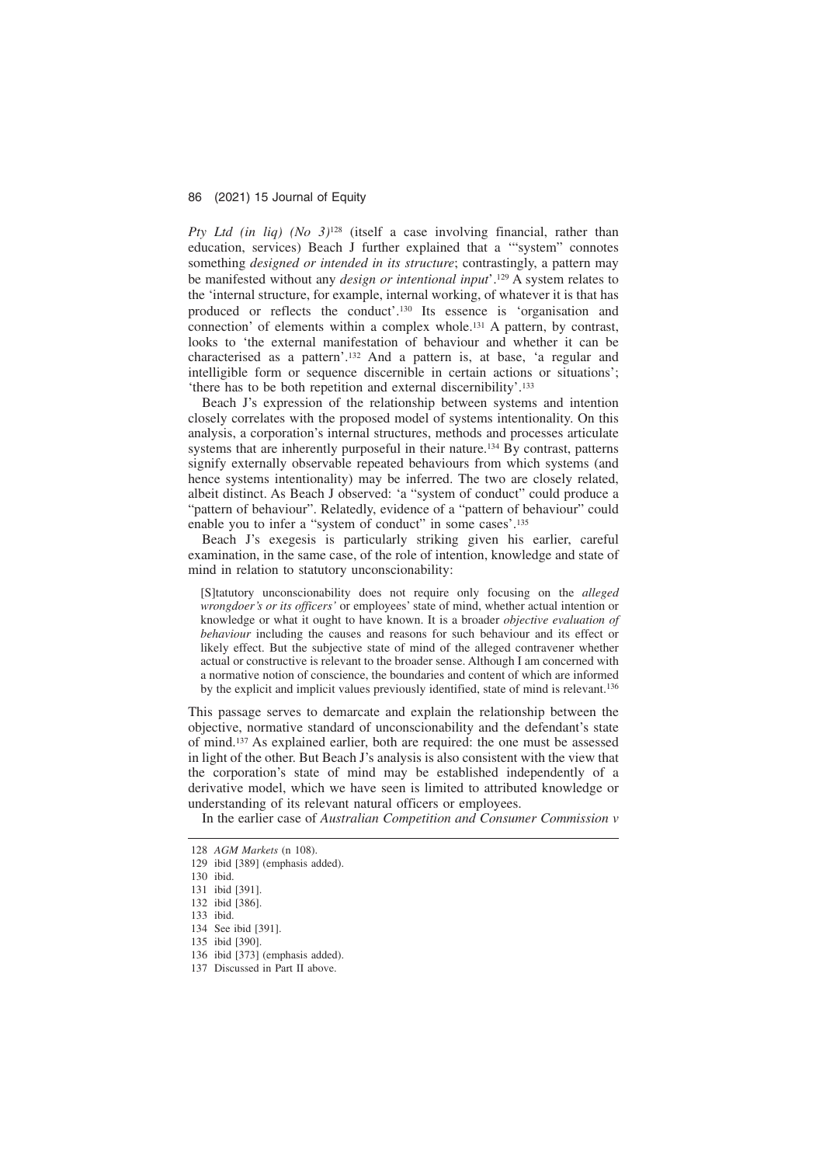*Pty Ltd (in liq) (No 3)*<sup>128</sup> (itself a case involving financial, rather than education, services) Beach J further explained that a '"system" connotes something *designed or intended in its structure*; contrastingly, a pattern may be manifested without any *design or intentional input*'.129 A system relates to the 'internal structure, for example, internal working, of whatever it is that has produced or reflects the conduct'.130 Its essence is 'organisation and connection' of elements within a complex whole.131 A pattern, by contrast, looks to 'the external manifestation of behaviour and whether it can be characterised as a pattern'.132 And a pattern is, at base, 'a regular and intelligible form or sequence discernible in certain actions or situations': 'there has to be both repetition and external discernibility'.133

Beach J's expression of the relationship between systems and intention closely correlates with the proposed model of systems intentionality. On this analysis, a corporation's internal structures, methods and processes articulate systems that are inherently purposeful in their nature.<sup>134</sup> By contrast, patterns signify externally observable repeated behaviours from which systems (and hence systems intentionality) may be inferred. The two are closely related, albeit distinct. As Beach J observed: 'a "system of conduct" could produce a "pattern of behaviour". Relatedly, evidence of a "pattern of behaviour" could enable you to infer a "system of conduct" in some cases'.135

Beach J's exegesis is particularly striking given his earlier, careful examination, in the same case, of the role of intention, knowledge and state of mind in relation to statutory unconscionability:

[S]tatutory unconscionability does not require only focusing on the *alleged wrongdoer's or its officers'* or employees' state of mind, whether actual intention or knowledge or what it ought to have known. It is a broader *objective evaluation of behaviour* including the causes and reasons for such behaviour and its effect or likely effect. But the subjective state of mind of the alleged contravener whether actual or constructive is relevant to the broader sense. Although I am concerned with a normative notion of conscience, the boundaries and content of which are informed by the explicit and implicit values previously identified, state of mind is relevant.<sup>136</sup>

This passage serves to demarcate and explain the relationship between the objective, normative standard of unconscionability and the defendant's state of mind.137 As explained earlier, both are required: the one must be assessed in light of the other. But Beach J's analysis is also consistent with the view that the corporation's state of mind may be established independently of a derivative model, which we have seen is limited to attributed knowledge or understanding of its relevant natural officers or employees.

In the earlier case of *Australian Competition and Consumer Commission v*

<sup>128</sup> *AGM Markets* (n 108).

<sup>129</sup> ibid [389] (emphasis added).

<sup>130</sup> ibid.

<sup>131</sup> ibid [391].

<sup>132</sup> ibid [386].

<sup>133</sup> ibid. 134 See ibid [391].

<sup>135</sup> ibid [390].

<sup>136</sup> ibid [373] (emphasis added).

<sup>137</sup> Discussed in Part II above.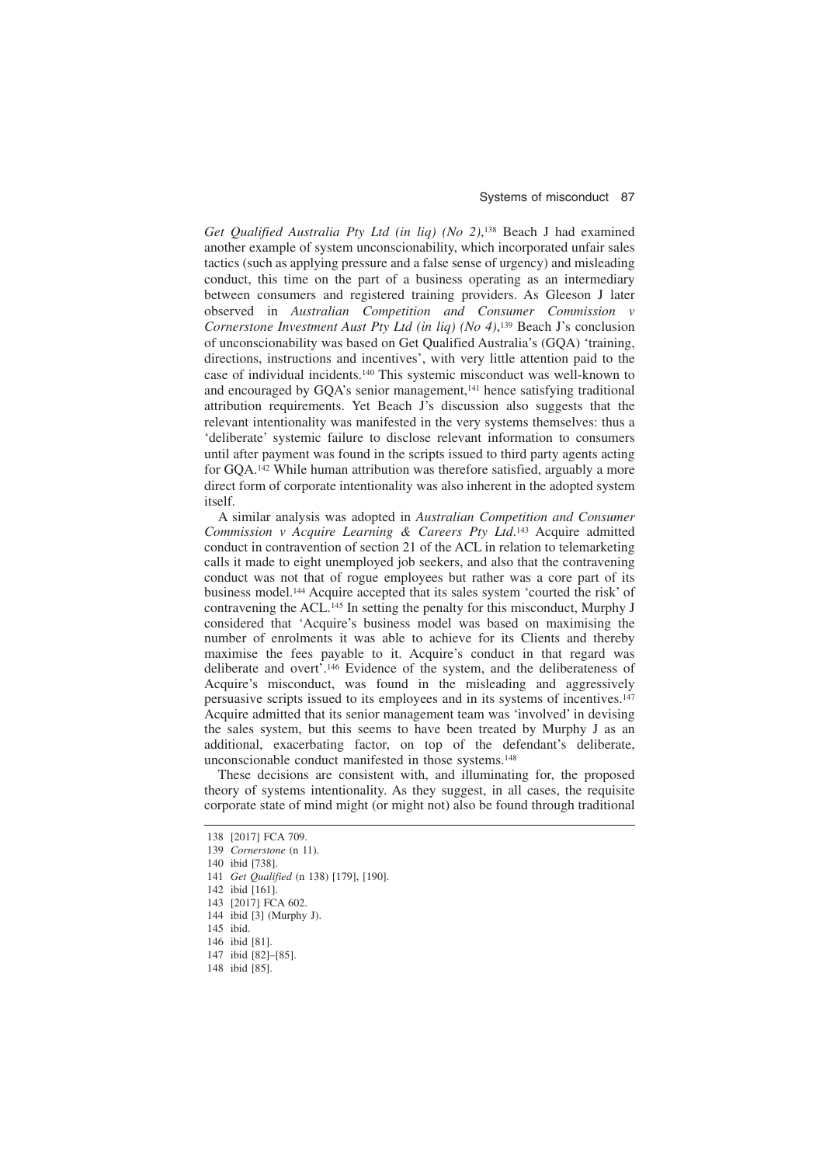*Get Qualified Australia Pty Ltd (in liq) (No 2)*, <sup>138</sup> Beach J had examined another example of system unconscionability, which incorporated unfair sales tactics (such as applying pressure and a false sense of urgency) and misleading conduct, this time on the part of a business operating as an intermediary between consumers and registered training providers. As Gleeson J later observed in *Australian Competition and Consumer Commission v Cornerstone Investment Aust Pty Ltd (in liq) (No 4)*, <sup>139</sup> Beach J's conclusion of unconscionability was based on Get Qualified Australia's (GQA) 'training, directions, instructions and incentives', with very little attention paid to the case of individual incidents.140 This systemic misconduct was well-known to and encouraged by GQA's senior management,<sup>141</sup> hence satisfying traditional attribution requirements. Yet Beach J's discussion also suggests that the relevant intentionality was manifested in the very systems themselves: thus a 'deliberate' systemic failure to disclose relevant information to consumers until after payment was found in the scripts issued to third party agents acting for GQA.142 While human attribution was therefore satisfied, arguably a more direct form of corporate intentionality was also inherent in the adopted system itself.

A similar analysis was adopted in *Australian Competition and Consumer Commission v Acquire Learning & Careers Pty Ltd*. <sup>143</sup> Acquire admitted conduct in contravention of section 21 of the ACL in relation to telemarketing calls it made to eight unemployed job seekers, and also that the contravening conduct was not that of rogue employees but rather was a core part of its business model.144 Acquire accepted that its sales system 'courted the risk' of contravening the ACL.145 In setting the penalty for this misconduct, Murphy J considered that 'Acquire's business model was based on maximising the number of enrolments it was able to achieve for its Clients and thereby maximise the fees payable to it. Acquire's conduct in that regard was deliberate and overt'.146 Evidence of the system, and the deliberateness of Acquire's misconduct, was found in the misleading and aggressively persuasive scripts issued to its employees and in its systems of incentives.147 Acquire admitted that its senior management team was 'involved' in devising the sales system, but this seems to have been treated by Murphy J as an additional, exacerbating factor, on top of the defendant's deliberate, unconscionable conduct manifested in those systems.148

These decisions are consistent with, and illuminating for, the proposed theory of systems intentionality. As they suggest, in all cases, the requisite corporate state of mind might (or might not) also be found through traditional

<sup>138 [2017]</sup> FCA 709.

<sup>139</sup> *Cornerstone* (n 11).

<sup>140</sup> ibid [738].

<sup>141</sup> *Get Qualified* (n 138) [179], [190].

<sup>142</sup> ibid [161].

<sup>143 [2017]</sup> FCA 602.

<sup>144</sup> ibid [3] (Murphy J).

<sup>145</sup> ibid.

<sup>146</sup> ibid [81].

<sup>147</sup> ibid [82]–[85].

<sup>148</sup> ibid [85].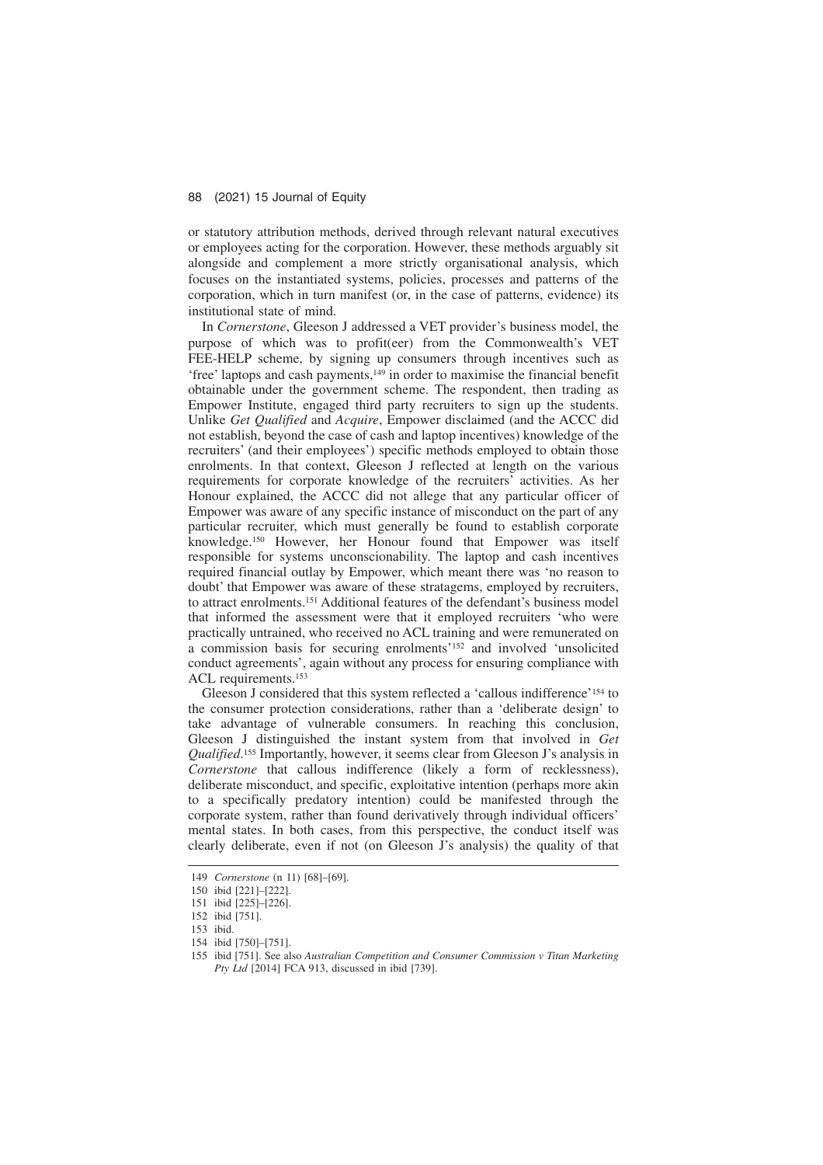or statutory attribution methods, derived through relevant natural executives or employees acting for the corporation. However, these methods arguably sit alongside and complement a more strictly organisational analysis, which focuses on the instantiated systems, policies, processes and patterns of the corporation, which in turn manifest (or, in the case of patterns, evidence) its institutional state of mind.

In *Cornerstone*, Gleeson J addressed a VET provider's business model, the purpose of which was to profit(eer) from the Commonwealth's VET FEE-HELP scheme, by signing up consumers through incentives such as 'free' laptops and cash payments,149 in order to maximise the financial benefit obtainable under the government scheme. The respondent, then trading as Empower Institute, engaged third party recruiters to sign up the students. Unlike *Get Qualified* and *Acquire*, Empower disclaimed (and the ACCC did not establish, beyond the case of cash and laptop incentives) knowledge of the recruiters' (and their employees') specific methods employed to obtain those enrolments. In that context, Gleeson J reflected at length on the various requirements for corporate knowledge of the recruiters' activities. As her Honour explained, the ACCC did not allege that any particular officer of Empower was aware of any specific instance of misconduct on the part of any particular recruiter, which must generally be found to establish corporate knowledge.150 However, her Honour found that Empower was itself responsible for systems unconscionability. The laptop and cash incentives required financial outlay by Empower, which meant there was 'no reason to doubt' that Empower was aware of these stratagems, employed by recruiters, to attract enrolments.151 Additional features of the defendant's business model that informed the assessment were that it employed recruiters 'who were practically untrained, who received no ACL training and were remunerated on a commission basis for securing enrolments'152 and involved 'unsolicited conduct agreements', again without any process for ensuring compliance with ACL requirements.153

Gleeson J considered that this system reflected a 'callous indifference'154 to the consumer protection considerations, rather than a 'deliberate design' to take advantage of vulnerable consumers. In reaching this conclusion, Gleeson J distinguished the instant system from that involved in *Get Qualified*. <sup>155</sup> Importantly, however, it seems clear from Gleeson J's analysis in *Cornerstone* that callous indifference (likely a form of recklessness), deliberate misconduct, and specific, exploitative intention (perhaps more akin to a specifically predatory intention) could be manifested through the corporate system, rather than found derivatively through individual officers' mental states. In both cases, from this perspective, the conduct itself was clearly deliberate, even if not (on Gleeson J's analysis) the quality of that

<sup>149</sup> *Cornerstone* (n 11) [68]–[69].

<sup>150</sup> ibid [221]–[222].

<sup>151</sup> ibid [225]–[226].

<sup>152</sup> ibid [751].

<sup>153</sup> ibid.

<sup>154</sup> ibid [750]–[751].

<sup>155</sup> ibid [751]. See also *Australian Competition and Consumer Commission v Titan Marketing Pty Ltd* [2014] FCA 913, discussed in ibid [739].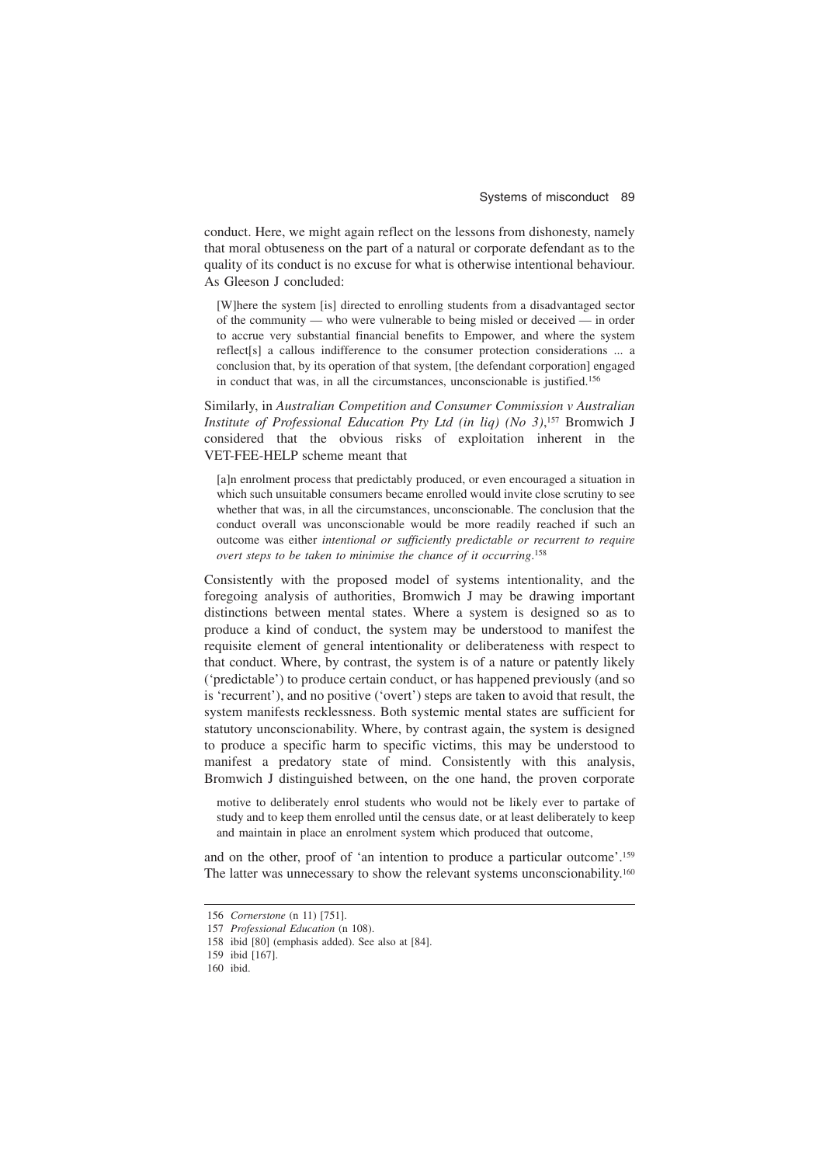conduct. Here, we might again reflect on the lessons from dishonesty, namely that moral obtuseness on the part of a natural or corporate defendant as to the quality of its conduct is no excuse for what is otherwise intentional behaviour. As Gleeson J concluded:

[W]here the system [is] directed to enrolling students from a disadvantaged sector of the community — who were vulnerable to being misled or deceived — in order to accrue very substantial financial benefits to Empower, and where the system reflect[s] a callous indifference to the consumer protection considerations ... a conclusion that, by its operation of that system, [the defendant corporation] engaged in conduct that was, in all the circumstances, unconscionable is justified.156

Similarly, in *Australian Competition and Consumer Commission v Australian Institute of Professional Education Pty Ltd (in liq) (No 3)*, <sup>157</sup> Bromwich J considered that the obvious risks of exploitation inherent in the VET-FEE-HELP scheme meant that

[a]n enrolment process that predictably produced, or even encouraged a situation in which such unsuitable consumers became enrolled would invite close scrutiny to see whether that was, in all the circumstances, unconscionable. The conclusion that the conduct overall was unconscionable would be more readily reached if such an outcome was either *intentional or sufficiently predictable or recurrent to require overt steps to be taken to minimise the chance of it occurring*. 158

Consistently with the proposed model of systems intentionality, and the foregoing analysis of authorities, Bromwich J may be drawing important distinctions between mental states. Where a system is designed so as to produce a kind of conduct, the system may be understood to manifest the requisite element of general intentionality or deliberateness with respect to that conduct. Where, by contrast, the system is of a nature or patently likely ('predictable') to produce certain conduct, or has happened previously (and so is 'recurrent'), and no positive ('overt') steps are taken to avoid that result, the system manifests recklessness. Both systemic mental states are sufficient for statutory unconscionability. Where, by contrast again, the system is designed to produce a specific harm to specific victims, this may be understood to manifest a predatory state of mind. Consistently with this analysis, Bromwich J distinguished between, on the one hand, the proven corporate

motive to deliberately enrol students who would not be likely ever to partake of study and to keep them enrolled until the census date, or at least deliberately to keep and maintain in place an enrolment system which produced that outcome,

and on the other, proof of 'an intention to produce a particular outcome'.159 The latter was unnecessary to show the relevant systems unconscionability.160

<sup>156</sup> *Cornerstone* (n 11) [751].

<sup>157</sup> *Professional Education* (n 108).

<sup>158</sup> ibid [80] (emphasis added). See also at [84].

<sup>159</sup> ibid [167].

<sup>160</sup> ibid.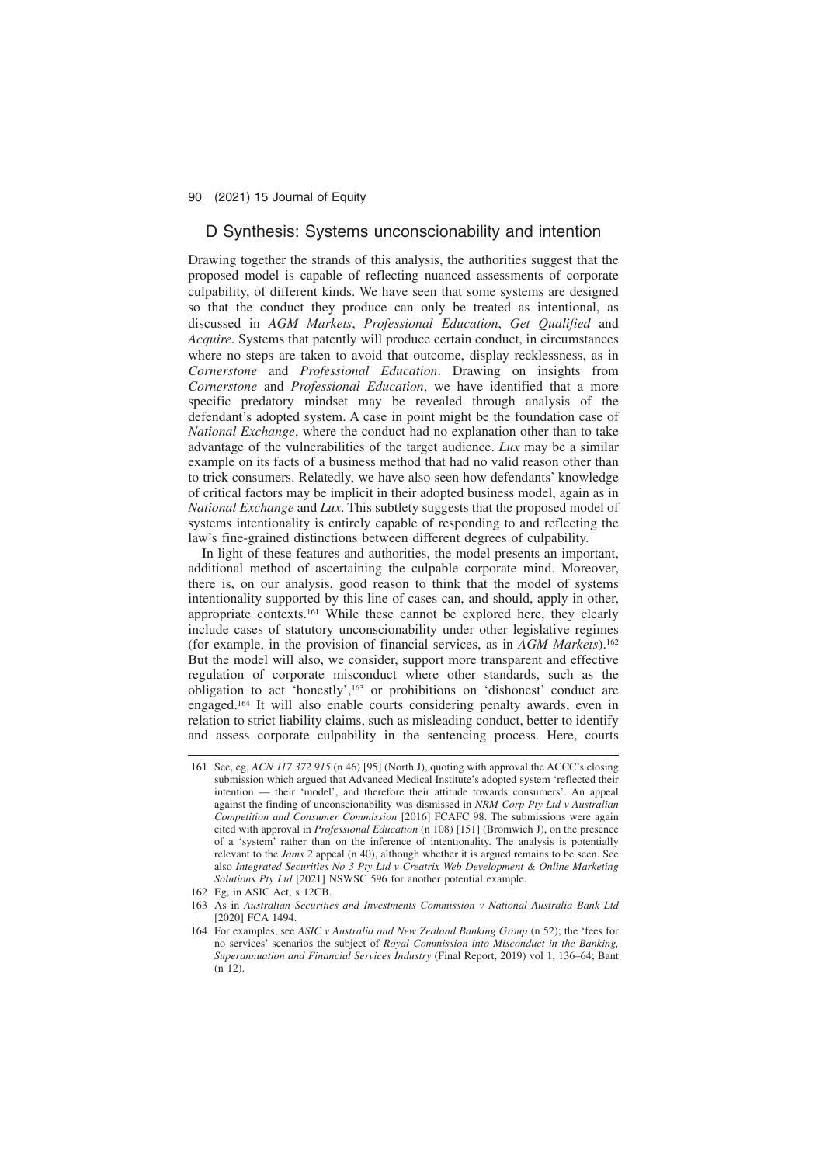### D Synthesis: Systems unconscionability and intention

Drawing together the strands of this analysis, the authorities suggest that the proposed model is capable of reflecting nuanced assessments of corporate culpability, of different kinds. We have seen that some systems are designed so that the conduct they produce can only be treated as intentional, as discussed in *AGM Markets*, *Professional Education*, *Get Qualified* and *Acquire*. Systems that patently will produce certain conduct, in circumstances where no steps are taken to avoid that outcome, display recklessness, as in *Cornerstone* and *Professional Education*. Drawing on insights from *Cornerstone* and *Professional Education*, we have identified that a more specific predatory mindset may be revealed through analysis of the defendant's adopted system. A case in point might be the foundation case of *National Exchange*, where the conduct had no explanation other than to take advantage of the vulnerabilities of the target audience. *Lux* may be a similar example on its facts of a business method that had no valid reason other than to trick consumers. Relatedly, we have also seen how defendants' knowledge of critical factors may be implicit in their adopted business model, again as in *National Exchange* and *Lux*. This subtlety suggests that the proposed model of systems intentionality is entirely capable of responding to and reflecting the law's fine-grained distinctions between different degrees of culpability.

In light of these features and authorities, the model presents an important, additional method of ascertaining the culpable corporate mind. Moreover, there is, on our analysis, good reason to think that the model of systems intentionality supported by this line of cases can, and should, apply in other, appropriate contexts.161 While these cannot be explored here, they clearly include cases of statutory unconscionability under other legislative regimes (for example, in the provision of financial services, as in *AGM Markets*).162 But the model will also, we consider, support more transparent and effective regulation of corporate misconduct where other standards, such as the obligation to act 'honestly',163 or prohibitions on 'dishonest' conduct are engaged.164 It will also enable courts considering penalty awards, even in relation to strict liability claims, such as misleading conduct, better to identify and assess corporate culpability in the sentencing process. Here, courts

<sup>161</sup> See, eg, *ACN 117 372 915* (n 46) [95] (North J), quoting with approval the ACCC's closing submission which argued that Advanced Medical Institute's adopted system 'reflected their intention — their 'model', and therefore their attitude towards consumers'. An appeal - their 'model', and therefore their attitude towards consumers'. An appeal against the finding of unconscionability was dismissed in *NRM Corp Pty Ltd v Australian Competition and Consumer Commission* [2016] FCAFC 98. The submissions were again cited with approval in *Professional Education* (n 108) [151] (Bromwich J), on the presence of a 'system' rather than on the inference of intentionality. The analysis is potentially relevant to the *Jams 2* appeal (n 40), although whether it is argued remains to be seen. See also *Integrated Securities No 3 Pty Ltd v Creatrix Web Development & Online Marketing Solutions Pty Ltd* [2021] NSWSC 596 for another potential example.

<sup>162</sup> Eg, in ASIC Act, s 12CB.

<sup>163</sup> As in *Australian Securities and Investments Commission v National Australia Bank Ltd* [2020] FCA 1494.

<sup>164</sup> For examples, see *ASIC v Australia and New Zealand Banking Group* (n 52); the 'fees for no services' scenarios the subject of *Royal Commission into Misconduct in the Banking, Superannuation and Financial Services Industry* (Final Report, 2019) vol 1, 136–64; Bant  $(n 12)$